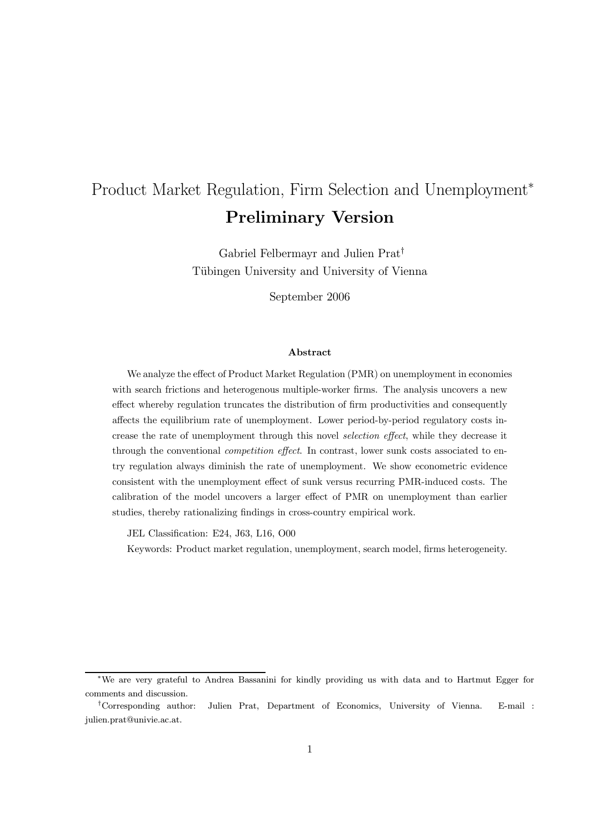# Product Market Regulation, Firm Selection and Unemployment<sup>∗</sup> Preliminary Version

Gabriel Felbermayr and Julien Prat† Tübingen University and University of Vienna

September 2006

#### Abstract

We analyze the effect of Product Market Regulation (PMR) on unemployment in economies with search frictions and heterogenous multiple-worker firms. The analysis uncovers a new effect whereby regulation truncates the distribution of firm productivities and consequently affects the equilibrium rate of unemployment. Lower period-by-period regulatory costs increase the rate of unemployment through this novel selection effect, while they decrease it through the conventional *competition effect*. In contrast, lower sunk costs associated to entry regulation always diminish the rate of unemployment. We show econometric evidence consistent with the unemployment effect of sunk versus recurring PMR-induced costs. The calibration of the model uncovers a larger effect of PMR on unemployment than earlier studies, thereby rationalizing findings in cross-country empirical work.

JEL Classification: E24, J63, L16, O00

Keywords: Product market regulation, unemployment, search model, firms heterogeneity.

<sup>∗</sup>We are very grateful to Andrea Bassanini for kindly providing us with data and to Hartmut Egger for comments and discussion.

<sup>†</sup>Corresponding author: Julien Prat, Department of Economics, University of Vienna. E-mail : julien.prat@univie.ac.at.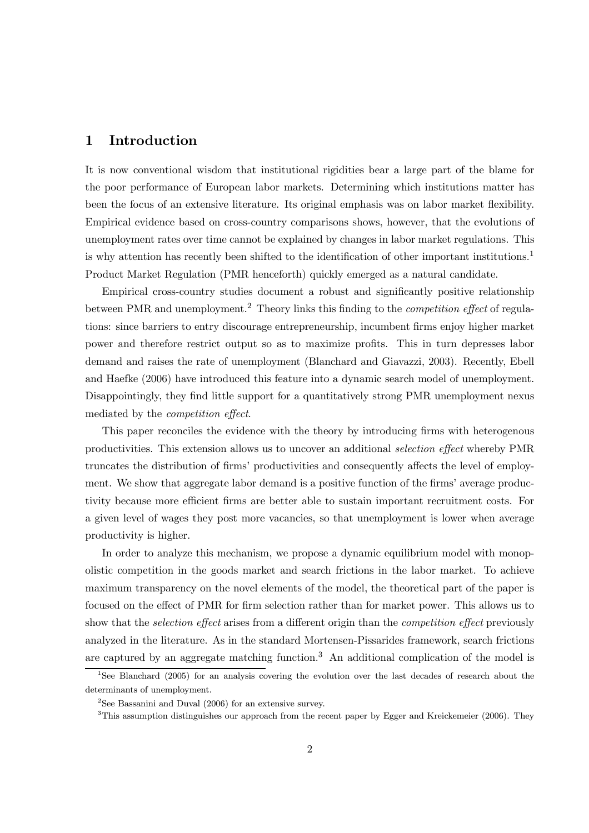## 1 Introduction

It is now conventional wisdom that institutional rigidities bear a large part of the blame for the poor performance of European labor markets. Determining which institutions matter has been the focus of an extensive literature. Its original emphasis was on labor market flexibility. Empirical evidence based on cross-country comparisons shows, however, that the evolutions of unemployment rates over time cannot be explained by changes in labor market regulations. This is why attention has recently been shifted to the identification of other important institutions.<sup>1</sup> Product Market Regulation (PMR henceforth) quickly emerged as a natural candidate.

Empirical cross-country studies document a robust and significantly positive relationship between PMR and unemployment.<sup>2</sup> Theory links this finding to the *competition effect* of regulations: since barriers to entry discourage entrepreneurship, incumbent firms enjoy higher market power and therefore restrict output so as to maximize profits. This in turn depresses labor demand and raises the rate of unemployment (Blanchard and Giavazzi, 2003). Recently, Ebell and Haefke (2006) have introduced this feature into a dynamic search model of unemployment. Disappointingly, they find little support for a quantitatively strong PMR unemployment nexus mediated by the competition effect.

This paper reconciles the evidence with the theory by introducing firms with heterogenous productivities. This extension allows us to uncover an additional selection effect whereby PMR truncates the distribution of firms' productivities and consequently affects the level of employment. We show that aggregate labor demand is a positive function of the firms' average productivity because more efficient firms are better able to sustain important recruitment costs. For a given level of wages they post more vacancies, so that unemployment is lower when average productivity is higher.

In order to analyze this mechanism, we propose a dynamic equilibrium model with monopolistic competition in the goods market and search frictions in the labor market. To achieve maximum transparency on the novel elements of the model, the theoretical part of the paper is focused on the effect of PMR for firm selection rather than for market power. This allows us to show that the *selection effect* arises from a different origin than the *competition effect* previously analyzed in the literature. As in the standard Mortensen-Pissarides framework, search frictions are captured by an aggregate matching function.<sup>3</sup> An additional complication of the model is

<sup>&</sup>lt;sup>1</sup>See Blanchard (2005) for an analysis covering the evolution over the last decades of research about the determinants of unemployment.

<sup>&</sup>lt;sup>2</sup>See Bassanini and Duval  $(2006)$  for an extensive survey.

 $3$ This assumption distinguishes our approach from the recent paper by Egger and Kreickemeier (2006). They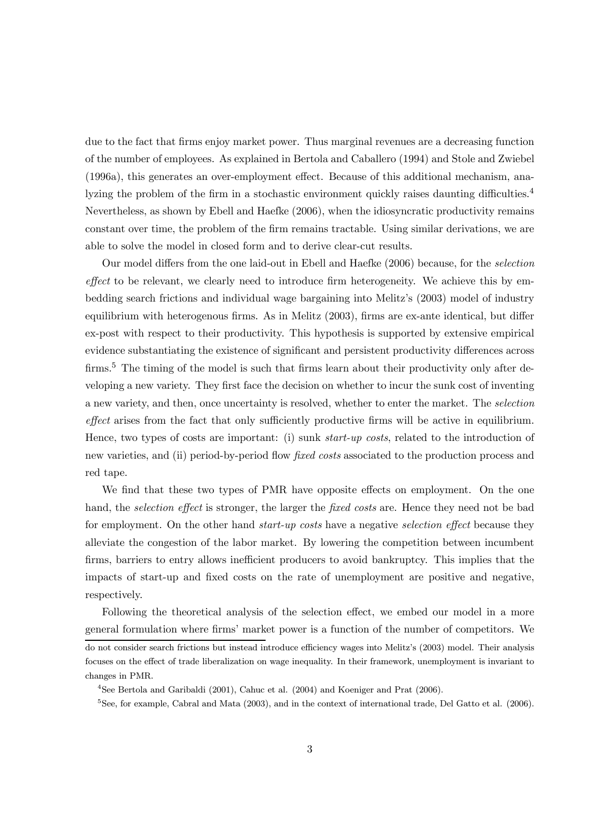due to the fact that firms enjoy market power. Thus marginal revenues are a decreasing function of the number of employees. As explained in Bertola and Caballero (1994) and Stole and Zwiebel (1996a), this generates an over-employment effect. Because of this additional mechanism, analyzing the problem of the firm in a stochastic environment quickly raises daunting difficulties.<sup>4</sup> Nevertheless, as shown by Ebell and Haefke (2006), when the idiosyncratic productivity remains constant over time, the problem of the firm remains tractable. Using similar derivations, we are able to solve the model in closed form and to derive clear-cut results.

Our model differs from the one laid-out in Ebell and Haefke (2006) because, for the selection effect to be relevant, we clearly need to introduce firm heterogeneity. We achieve this by embedding search frictions and individual wage bargaining into Melitz's (2003) model of industry equilibrium with heterogenous firms. As in Melitz (2003), firms are ex-ante identical, but differ ex-post with respect to their productivity. This hypothesis is supported by extensive empirical evidence substantiating the existence of significant and persistent productivity differences across firms.<sup>5</sup> The timing of the model is such that firms learn about their productivity only after developing a new variety. They first face the decision on whether to incur the sunk cost of inventing a new variety, and then, once uncertainty is resolved, whether to enter the market. The selection effect arises from the fact that only sufficiently productive firms will be active in equilibrium. Hence, two types of costs are important: (i) sunk *start-up costs*, related to the introduction of new varieties, and (ii) period-by-period flow fixed costs associated to the production process and red tape.

We find that these two types of PMR have opposite effects on employment. On the one hand, the *selection effect* is stronger, the larger the *fixed costs* are. Hence they need not be bad for employment. On the other hand *start-up costs* have a negative *selection effect* because they alleviate the congestion of the labor market. By lowering the competition between incumbent firms, barriers to entry allows inefficient producers to avoid bankruptcy. This implies that the impacts of start-up and fixed costs on the rate of unemployment are positive and negative, respectively.

Following the theoretical analysis of the selection effect, we embed our model in a more general formulation where firms' market power is a function of the number of competitors. We do not consider search frictions but instead introduce efficiency wages into Melitz's (2003) model. Their analysis focuses on the effect of trade liberalization on wage inequality. In their framework, unemployment is invariant to changes in PMR.

<sup>4</sup>See Bertola and Garibaldi (2001), Cahuc et al. (2004) and Koeniger and Prat (2006).

 $5$ See, for example, Cabral and Mata (2003), and in the context of international trade, Del Gatto et al. (2006).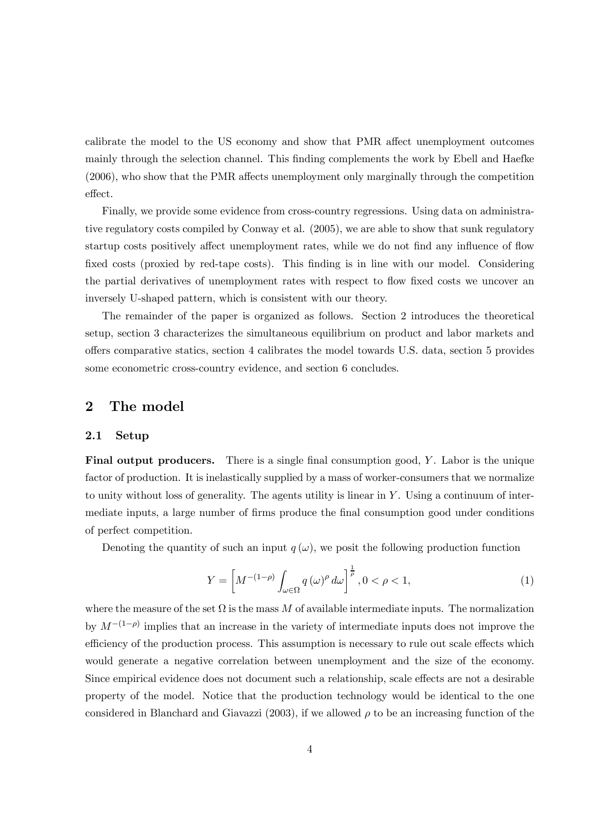calibrate the model to the US economy and show that PMR affect unemployment outcomes mainly through the selection channel. This finding complements the work by Ebell and Haefke (2006), who show that the PMR affects unemployment only marginally through the competition effect.

Finally, we provide some evidence from cross-country regressions. Using data on administrative regulatory costs compiled by Conway et al. (2005), we are able to show that sunk regulatory startup costs positively affect unemployment rates, while we do not find any influence of flow fixed costs (proxied by red-tape costs). This finding is in line with our model. Considering the partial derivatives of unemployment rates with respect to flow fixed costs we uncover an inversely U-shaped pattern, which is consistent with our theory.

The remainder of the paper is organized as follows. Section 2 introduces the theoretical setup, section 3 characterizes the simultaneous equilibrium on product and labor markets and offers comparative statics, section 4 calibrates the model towards U.S. data, section 5 provides some econometric cross-country evidence, and section 6 concludes.

# 2 The model

#### 2.1 Setup

Final output producers. There is a single final consumption good, Y. Labor is the unique factor of production. It is inelastically supplied by a mass of worker-consumers that we normalize to unity without loss of generality. The agents utility is linear in Y . Using a continuum of intermediate inputs, a large number of firms produce the final consumption good under conditions of perfect competition.

Denoting the quantity of such an input  $q(\omega)$ , we posit the following production function

$$
Y = \left[ M^{-(1-\rho)} \int_{\omega \in \Omega} q(\omega)^{\rho} d\omega \right]^{\frac{1}{\rho}}, 0 < \rho < 1,
$$
 (1)

where the measure of the set  $\Omega$  is the mass M of available intermediate inputs. The normalization by  $M^{-(1-\rho)}$  implies that an increase in the variety of intermediate inputs does not improve the efficiency of the production process. This assumption is necessary to rule out scale effects which would generate a negative correlation between unemployment and the size of the economy. Since empirical evidence does not document such a relationship, scale effects are not a desirable property of the model. Notice that the production technology would be identical to the one considered in Blanchard and Giavazzi (2003), if we allowed  $\rho$  to be an increasing function of the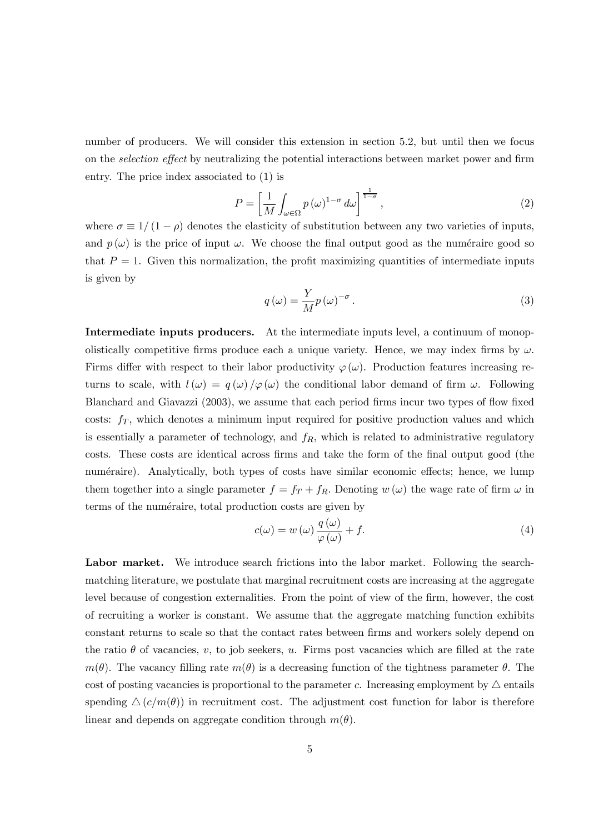number of producers. We will consider this extension in section 5.2, but until then we focus on the selection effect by neutralizing the potential interactions between market power and firm entry. The price index associated to (1) is

$$
P = \left[\frac{1}{M} \int_{\omega \in \Omega} p(\omega)^{1-\sigma} d\omega\right]^{\frac{1}{1-\sigma}},\tag{2}
$$

where  $\sigma \equiv 1/(1 - \rho)$  denotes the elasticity of substitution between any two varieties of inputs, and  $p(\omega)$  is the price of input  $\omega$ . We choose the final output good as the numéraire good so that  $P = 1$ . Given this normalization, the profit maximizing quantities of intermediate inputs is given by

$$
q(\omega) = \frac{Y}{M} p(\omega)^{-\sigma}.
$$
\n(3)

Intermediate inputs producers. At the intermediate inputs level, a continuum of monopolistically competitive firms produce each a unique variety. Hence, we may index firms by  $\omega$ . Firms differ with respect to their labor productivity  $\varphi(\omega)$ . Production features increasing returns to scale, with  $l(\omega) = q(\omega)/\varphi(\omega)$  the conditional labor demand of firm  $\omega$ . Following Blanchard and Giavazzi (2003), we assume that each period firms incur two types of flow fixed costs:  $f<sub>T</sub>$ , which denotes a minimum input required for positive production values and which is essentially a parameter of technology, and  $f_R$ , which is related to administrative regulatory costs. These costs are identical across firms and take the form of the final output good (the numéraire). Analytically, both types of costs have similar economic effects; hence, we lump them together into a single parameter  $f = f_T + f_R$ . Denoting  $w(\omega)$  the wage rate of firm  $\omega$  in terms of the numéraire, total production costs are given by

$$
c(\omega) = w(\omega) \frac{q(\omega)}{\varphi(\omega)} + f.
$$
\n(4)

Labor market. We introduce search frictions into the labor market. Following the searchmatching literature, we postulate that marginal recruitment costs are increasing at the aggregate level because of congestion externalities. From the point of view of the firm, however, the cost of recruiting a worker is constant. We assume that the aggregate matching function exhibits constant returns to scale so that the contact rates between firms and workers solely depend on the ratio  $\theta$  of vacancies, v, to job seekers, u. Firms post vacancies which are filled at the rate  $m(\theta)$ . The vacancy filling rate  $m(\theta)$  is a decreasing function of the tightness parameter  $\theta$ . The cost of posting vacancies is proportional to the parameter c. Increasing employment by  $\triangle$  entails spending  $\Delta (c/m(\theta))$  in recruitment cost. The adjustment cost function for labor is therefore linear and depends on aggregate condition through  $m(\theta)$ .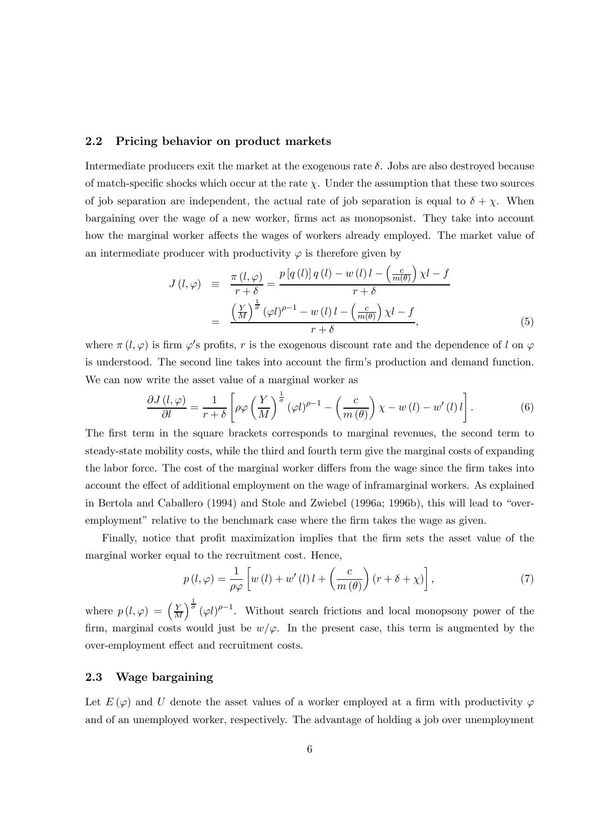#### 2.2 Pricing behavior on product markets

Intermediate producers exit the market at the exogenous rate  $\delta$ . Jobs are also destroyed because of match-specific shocks which occur at the rate  $\chi$ . Under the assumption that these two sources of job separation are independent, the actual rate of job separation is equal to  $\delta + \chi$ . When bargaining over the wage of a new worker, firms act as monopsonist. They take into account how the marginal worker affects the wages of workers already employed. The market value of an intermediate producer with productivity  $\varphi$  is therefore given by

$$
J(l,\varphi) \equiv \frac{\pi(l,\varphi)}{r+\delta} = \frac{p[q(l)]q(l) - w(l)l - \left(\frac{c}{m(\theta)}\right)\chi l - f}{r+\delta}
$$

$$
= \frac{\left(\frac{Y}{M}\right)^{\frac{1}{\sigma}}(\varphi l)^{\rho-1} - w(l)l - \left(\frac{c}{m(\theta)}\right)\chi l - f}{r+\delta}, \tag{5}
$$

where  $\pi(l,\varphi)$  is firm  $\varphi'$ s profits, r is the exogenous discount rate and the dependence of l on  $\varphi$ is understood. The second line takes into account the firm's production and demand function. We can now write the asset value of a marginal worker as

$$
\frac{\partial J(l,\varphi)}{\partial l} = \frac{1}{r+\delta} \left[ \rho \varphi \left( \frac{Y}{M} \right)^{\frac{1}{\sigma}} (\varphi l)^{\rho-1} - \left( \frac{c}{m(\theta)} \right) \chi - w(l) - w'(l) l \right]. \tag{6}
$$

The first term in the square brackets corresponds to marginal revenues, the second term to steady-state mobility costs, while the third and fourth term give the marginal costs of expanding the labor force. The cost of the marginal worker differs from the wage since the firm takes into account the effect of additional employment on the wage of inframarginal workers. As explained in Bertola and Caballero (1994) and Stole and Zwiebel (1996a; 1996b), this will lead to "overemployment" relative to the benchmark case where the firm takes the wage as given.

Finally, notice that profit maximization implies that the firm sets the asset value of the marginal worker equal to the recruitment cost. Hence,

$$
p(l, \varphi) = \frac{1}{\rho \varphi} \left[ w(l) + w'(l) \, l + \left( \frac{c}{m(\theta)} \right) (r + \delta + \chi) \right],\tag{7}
$$

where  $p(l, \varphi) = \left(\frac{Y}{M}\right)$  $\int_{0}^{\frac{1}{\sigma}} (\varphi l)^{\rho-1}$ . Without search frictions and local monopsony power of the firm, marginal costs would just be  $w/\varphi$ . In the present case, this term is augmented by the over-employment effect and recruitment costs.

## 2.3 Wage bargaining

Let  $E(\varphi)$  and U denote the asset values of a worker employed at a firm with productivity  $\varphi$ and of an unemployed worker, respectively. The advantage of holding a job over unemployment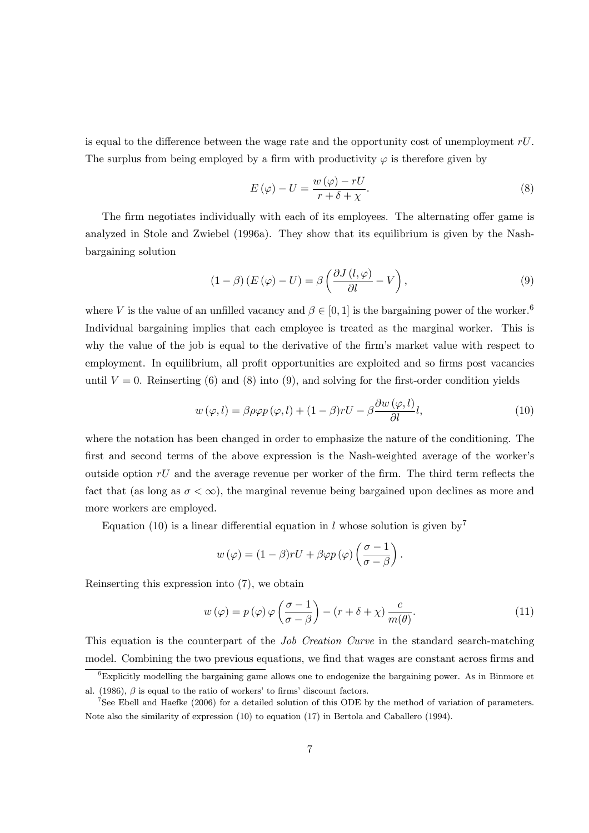is equal to the difference between the wage rate and the opportunity cost of unemployment  $rU$ . The surplus from being employed by a firm with productivity  $\varphi$  is therefore given by

$$
E(\varphi) - U = \frac{w(\varphi) - rU}{r + \delta + \chi}.
$$
\n(8)

The firm negotiates individually with each of its employees. The alternating offer game is analyzed in Stole and Zwiebel (1996a). They show that its equilibrium is given by the Nashbargaining solution

$$
(1 - \beta) (E(\varphi) - U) = \beta \left( \frac{\partial J(l, \varphi)}{\partial l} - V \right), \tag{9}
$$

where V is the value of an unfilled vacancy and  $\beta \in [0,1]$  is the bargaining power of the worker.<sup>6</sup> Individual bargaining implies that each employee is treated as the marginal worker. This is why the value of the job is equal to the derivative of the firm's market value with respect to employment. In equilibrium, all profit opportunities are exploited and so firms post vacancies until  $V = 0$ . Reinserting (6) and (8) into (9), and solving for the first-order condition yields

$$
w(\varphi, l) = \beta \rho \varphi p(\varphi, l) + (1 - \beta) r U - \beta \frac{\partial w(\varphi, l)}{\partial l} l,\tag{10}
$$

where the notation has been changed in order to emphasize the nature of the conditioning. The first and second terms of the above expression is the Nash-weighted average of the worker's outside option  $rU$  and the average revenue per worker of the firm. The third term reflects the fact that (as long as  $\sigma < \infty$ ), the marginal revenue being bargained upon declines as more and more workers are employed.

Equation (10) is a linear differential equation in l whose solution is given by<sup>7</sup>

$$
w(\varphi) = (1 - \beta) rU + \beta \varphi p(\varphi) \left( \frac{\sigma - 1}{\sigma - \beta} \right).
$$

Reinserting this expression into (7), we obtain

$$
w(\varphi) = p(\varphi)\varphi\left(\frac{\sigma - 1}{\sigma - \beta}\right) - \left(r + \delta + \chi\right)\frac{c}{m(\theta)}.\tag{11}
$$

This equation is the counterpart of the Job Creation Curve in the standard search-matching model. Combining the two previous equations, we find that wages are constant across firms and

 ${}^{6}$ Explicitly modelling the bargaining game allows one to endogenize the bargaining power. As in Binmore et al. (1986),  $\beta$  is equal to the ratio of workers' to firms' discount factors.

<sup>&</sup>lt;sup>7</sup>See Ebell and Haefke (2006) for a detailed solution of this ODE by the method of variation of parameters. Note also the similarity of expression (10) to equation (17) in Bertola and Caballero (1994).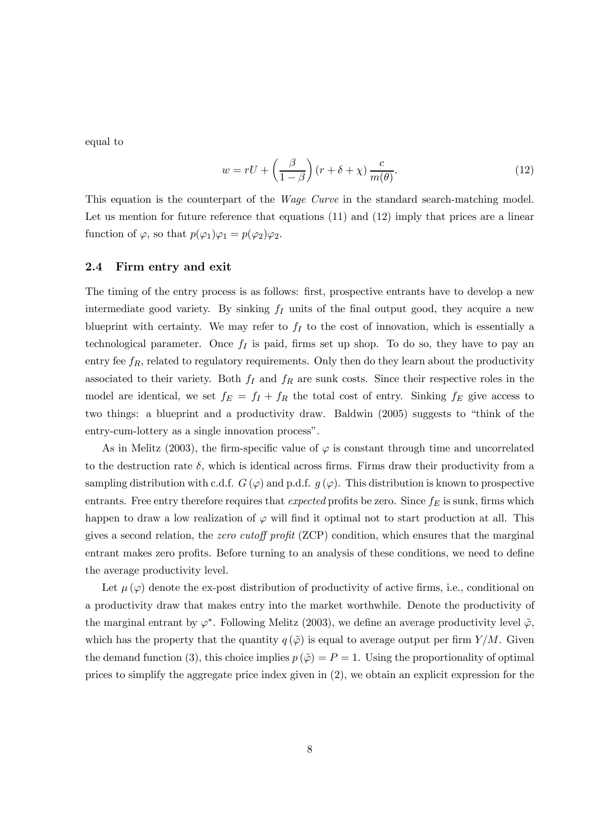equal to

$$
w = rU + \left(\frac{\beta}{1-\beta}\right)(r+\delta+\chi)\frac{c}{m(\theta)}.\tag{12}
$$

This equation is the counterpart of the *Wage Curve* in the standard search-matching model. Let us mention for future reference that equations (11) and (12) imply that prices are a linear function of  $\varphi$ , so that  $p(\varphi_1)\varphi_1 = p(\varphi_2)\varphi_2$ .

### 2.4 Firm entry and exit

The timing of the entry process is as follows: first, prospective entrants have to develop a new intermediate good variety. By sinking  $f_I$  units of the final output good, they acquire a new blueprint with certainty. We may refer to  $f_I$  to the cost of innovation, which is essentially a technological parameter. Once  $f_I$  is paid, firms set up shop. To do so, they have to pay an entry fee  $f_R$ , related to regulatory requirements. Only then do they learn about the productivity associated to their variety. Both  $f_I$  and  $f_R$  are sunk costs. Since their respective roles in the model are identical, we set  $f_E = f_I + f_R$  the total cost of entry. Sinking  $f_E$  give access to two things: a blueprint and a productivity draw. Baldwin (2005) suggests to "think of the entry-cum-lottery as a single innovation process".

As in Melitz (2003), the firm-specific value of  $\varphi$  is constant through time and uncorrelated to the destruction rate  $\delta$ , which is identical across firms. Firms draw their productivity from a sampling distribution with c.d.f.  $G(\varphi)$  and p.d.f.  $g(\varphi)$ . This distribution is known to prospective entrants. Free entry therefore requires that expected profits be zero. Since  $f_E$  is sunk, firms which happen to draw a low realization of  $\varphi$  will find it optimal not to start production at all. This gives a second relation, the zero cutoff profit (ZCP) condition, which ensures that the marginal entrant makes zero profits. Before turning to an analysis of these conditions, we need to define the average productivity level.

Let  $\mu(\varphi)$  denote the ex-post distribution of productivity of active firms, i.e., conditional on a productivity draw that makes entry into the market worthwhile. Denote the productivity of the marginal entrant by  $\varphi^*$ . Following Melitz (2003), we define an average productivity level  $\tilde{\varphi}$ , which has the property that the quantity  $q(\tilde{\varphi})$  is equal to average output per firm  $Y/M$ . Given the demand function (3), this choice implies  $p(\tilde{\varphi}) = P = 1$ . Using the proportionality of optimal prices to simplify the aggregate price index given in (2), we obtain an explicit expression for the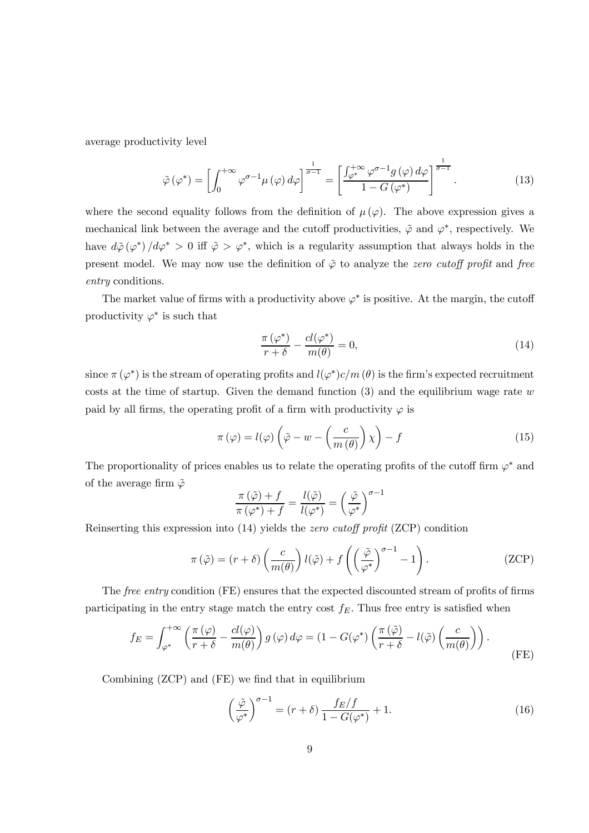average productivity level

$$
\tilde{\varphi}\left(\varphi^*\right) = \left[\int_0^{+\infty} \varphi^{\sigma-1} \mu\left(\varphi\right) d\varphi\right]^{\frac{1}{\sigma-1}} = \left[\frac{\int_{\varphi^*}^{+\infty} \varphi^{\sigma-1} g\left(\varphi\right) d\varphi}{1 - G\left(\varphi^*\right)}\right]^{\frac{1}{\sigma-1}}.\tag{13}
$$

where the second equality follows from the definition of  $\mu(\varphi)$ . The above expression gives a mechanical link between the average and the cutoff productivities,  $\tilde{\varphi}$  and  $\varphi^*$ , respectively. We have  $d\tilde{\varphi}(\varphi^*)/d\varphi^* > 0$  iff  $\tilde{\varphi} > \varphi^*$ , which is a regularity assumption that always holds in the present model. We may now use the definition of  $\tilde{\varphi}$  to analyze the zero cutoff profit and free entry conditions.

The market value of firms with a productivity above  $\varphi^*$  is positive. At the margin, the cutoff productivity  $\varphi^*$  is such that

$$
\frac{\pi\left(\varphi^*\right)}{r+\delta} - \frac{cl(\varphi^*)}{m(\theta)} = 0,\tag{14}
$$

since  $\pi(\varphi^*)$  is the stream of operating profits and  $l(\varphi^*)c/m(\theta)$  is the firm's expected recruitment costs at the time of startup. Given the demand function  $(3)$  and the equilibrium wage rate w paid by all firms, the operating profit of a firm with productivity  $\varphi$  is

$$
\pi(\varphi) = l(\varphi) \left( \tilde{\varphi} - w - \left( \frac{c}{m(\theta)} \right) \chi \right) - f \tag{15}
$$

The proportionality of prices enables us to relate the operating profits of the cutoff firm  $\varphi^*$  and of the average firm  $\tilde{\varphi}$  $-1$ 

$$
\frac{\pi(\tilde{\varphi}) + f}{\pi(\varphi^*) + f} = \frac{l(\tilde{\varphi})}{l(\varphi^*)} = \left(\frac{\tilde{\varphi}}{\varphi^*}\right)^{\sigma-}
$$

Reinserting this expression into (14) yields the zero cutoff profit (ZCP) condition

$$
\pi(\tilde{\varphi}) = (r + \delta) \left(\frac{c}{m(\theta)}\right) l(\tilde{\varphi}) + f\left(\left(\frac{\tilde{\varphi}}{\varphi^*}\right)^{\sigma - 1} - 1\right). \tag{ZCP}
$$

The free entry condition (FE) ensures that the expected discounted stream of profits of firms participating in the entry stage match the entry cost  $f_E$ . Thus free entry is satisfied when

$$
f_E = \int_{\varphi^*}^{+\infty} \left( \frac{\pi(\varphi)}{r+\delta} - \frac{cl(\varphi)}{m(\theta)} \right) g(\varphi) d\varphi = (1 - G(\varphi^*) \left( \frac{\pi(\tilde{\varphi})}{r+\delta} - l(\tilde{\varphi}) \left( \frac{c}{m(\theta)} \right) \right).
$$
 (FE)

Combining (ZCP) and (FE) we find that in equilibrium

$$
\left(\frac{\tilde{\varphi}}{\varphi^*}\right)^{\sigma-1} = (r+\delta)\frac{f_E/f}{1-G(\varphi^*)} + 1.
$$
\n(16)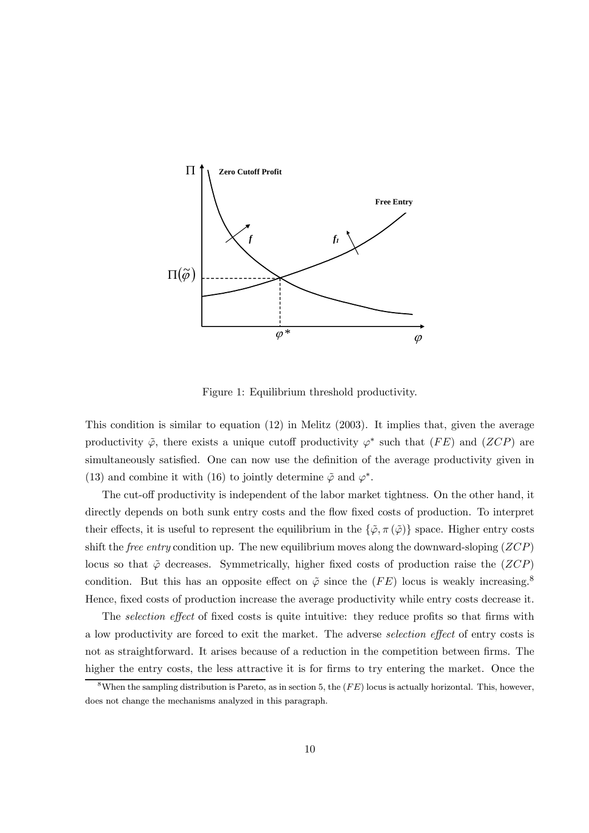

Figure 1: Equilibrium threshold productivity.

This condition is similar to equation (12) in Melitz (2003). It implies that, given the average productivity  $\tilde{\varphi}$ , there exists a unique cutoff productivity  $\varphi^*$  such that (FE) and (ZCP) are simultaneously satisfied. One can now use the definition of the average productivity given in (13) and combine it with (16) to jointly determine  $\tilde{\varphi}$  and  $\varphi^*$ .

The cut-off productivity is independent of the labor market tightness. On the other hand, it directly depends on both sunk entry costs and the flow fixed costs of production. To interpret their effects, it is useful to represent the equilibrium in the  $\{\tilde{\varphi}, \pi(\tilde{\varphi})\}$  space. Higher entry costs shift the *free entry* condition up. The new equilibrium moves along the downward-sloping  $(ZCP)$ locus so that  $\tilde{\varphi}$  decreases. Symmetrically, higher fixed costs of production raise the  $(ZCP)$ condition. But this has an opposite effect on  $\tilde{\varphi}$  since the (FE) locus is weakly increasing.<sup>8</sup> Hence, fixed costs of production increase the average productivity while entry costs decrease it.

The *selection effect* of fixed costs is quite intuitive: they reduce profits so that firms with a low productivity are forced to exit the market. The adverse selection effect of entry costs is not as straightforward. It arises because of a reduction in the competition between firms. The higher the entry costs, the less attractive it is for firms to try entering the market. Once the

<sup>&</sup>lt;sup>8</sup>When the sampling distribution is Pareto, as in section 5, the  $(FE)$  locus is actually horizontal. This, however, does not change the mechanisms analyzed in this paragraph.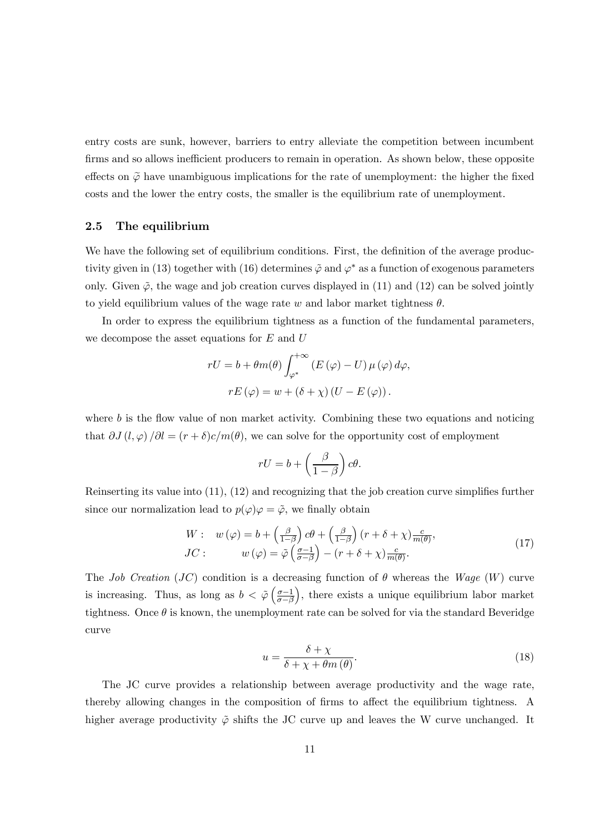entry costs are sunk, however, barriers to entry alleviate the competition between incumbent firms and so allows inefficient producers to remain in operation. As shown below, these opposite effects on  $\tilde{\varphi}$  have unambiguous implications for the rate of unemployment: the higher the fixed costs and the lower the entry costs, the smaller is the equilibrium rate of unemployment.

#### 2.5 The equilibrium

We have the following set of equilibrium conditions. First, the definition of the average productivity given in (13) together with (16) determines  $\tilde{\varphi}$  and  $\varphi^*$  as a function of exogenous parameters only. Given  $\tilde{\varphi}$ , the wage and job creation curves displayed in (11) and (12) can be solved jointly to yield equilibrium values of the wage rate w and labor market tightness  $\theta$ .

In order to express the equilibrium tightness as a function of the fundamental parameters, we decompose the asset equations for  $E$  and  $U$ 

$$
rU = b + \theta m(\theta) \int_{\varphi^*}^{+\infty} (E(\varphi) - U) \mu(\varphi) d\varphi,
$$
  

$$
rE(\varphi) = w + (\delta + \chi) (U - E(\varphi)).
$$

where  $b$  is the flow value of non market activity. Combining these two equations and noticing that  $\partial J(l, \varphi) / \partial l = (r + \delta)c/m(\theta)$ , we can solve for the opportunity cost of employment

$$
rU = b + \left(\frac{\beta}{1-\beta}\right)c\theta.
$$

Reinserting its value into (11), (12) and recognizing that the job creation curve simplifies further since our normalization lead to  $p(\varphi)\varphi = \tilde{\varphi}$ , we finally obtain

$$
W: w(\varphi) = b + \left(\frac{\beta}{1-\beta}\right)c\theta + \left(\frac{\beta}{1-\beta}\right)(r+\delta+\chi)\frac{c}{m(\theta)},
$$
  
\n
$$
JC: w(\varphi) = \tilde{\varphi}\left(\frac{\sigma-1}{\sigma-\beta}\right) - (r+\delta+\chi)\frac{c}{m(\theta)}.
$$
\n(17)

The Job Creation (JC) condition is a decreasing function of  $\theta$  whereas the Wage (W) curve is increasing. Thus, as long as  $b < \tilde{\varphi} \left( \frac{\sigma - 1}{\sigma - \beta} \right)$  $\sigma$ −β ), there exists a unique equilibrium labor market tightness. Once  $\theta$  is known, the unemployment rate can be solved for via the standard Beveridge curve

$$
u = \frac{\delta + \chi}{\delta + \chi + \theta m(\theta)}.
$$
\n(18)

The JC curve provides a relationship between average productivity and the wage rate, thereby allowing changes in the composition of firms to affect the equilibrium tightness. A higher average productivity  $\tilde{\varphi}$  shifts the JC curve up and leaves the W curve unchanged. It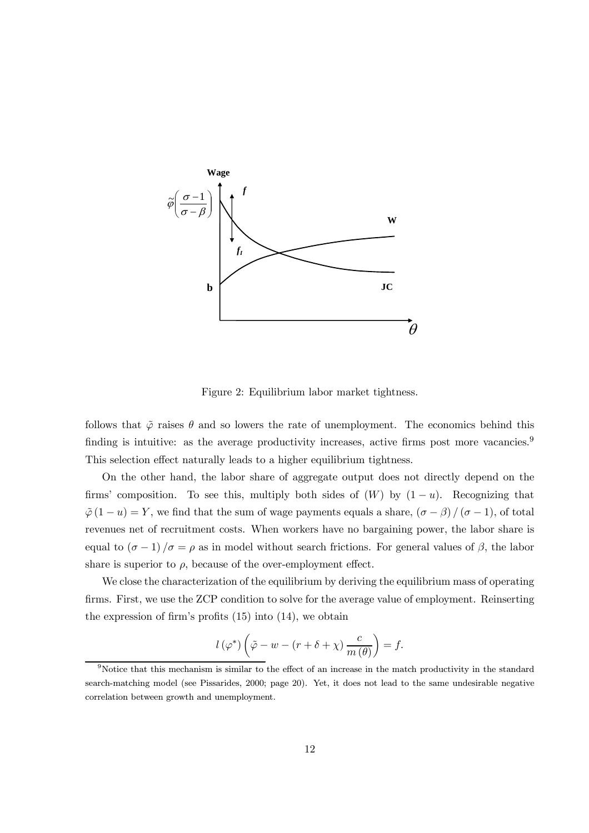

Figure 2: Equilibrium labor market tightness.

follows that  $\tilde{\varphi}$  raises  $\theta$  and so lowers the rate of unemployment. The economics behind this finding is intuitive: as the average productivity increases, active firms post more vacancies.<sup>9</sup> This selection effect naturally leads to a higher equilibrium tightness.

On the other hand, the labor share of aggregate output does not directly depend on the firms' composition. To see this, multiply both sides of  $(W)$  by  $(1 - u)$ . Recognizing that  $\tilde{\varphi}(1-u) = Y$ , we find that the sum of wage payments equals a share,  $(\sigma - \beta) / (\sigma - 1)$ , of total revenues net of recruitment costs. When workers have no bargaining power, the labor share is equal to  $(\sigma - 1)/\sigma = \rho$  as in model without search frictions. For general values of  $\beta$ , the labor share is superior to  $\rho$ , because of the over-employment effect.

We close the characterization of the equilibrium by deriving the equilibrium mass of operating firms. First, we use the ZCP condition to solve for the average value of employment. Reinserting the expression of firm's profits (15) into (14), we obtain

$$
l(\varphi^*)\left(\tilde{\varphi} - w - (r + \delta + \chi)\frac{c}{m(\theta)}\right) = f.
$$

<sup>9</sup>Notice that this mechanism is similar to the effect of an increase in the match productivity in the standard search-matching model (see Pissarides, 2000; page 20). Yet, it does not lead to the same undesirable negative correlation between growth and unemployment.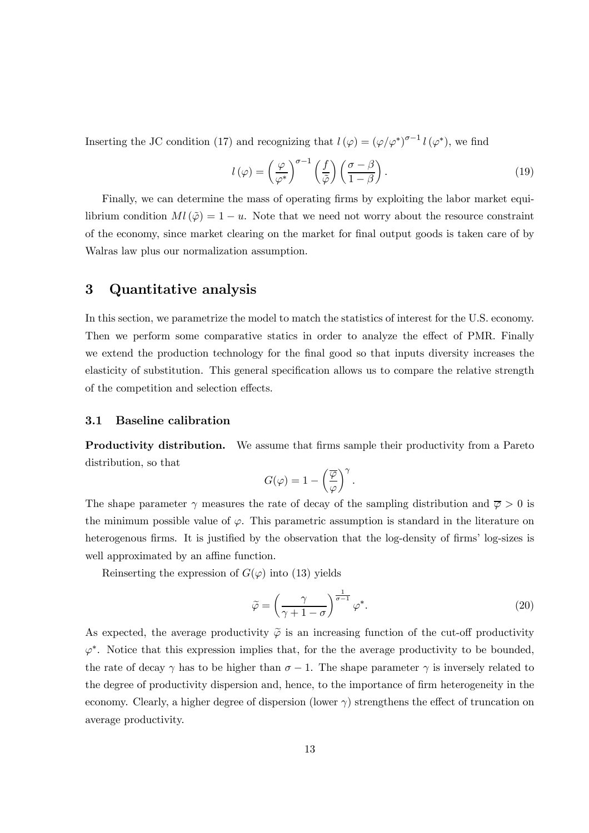Inserting the JC condition (17) and recognizing that  $l(\varphi) = (\varphi/\varphi^*)^{\sigma-1} l(\varphi^*)$ , we find

$$
l(\varphi) = \left(\frac{\varphi}{\varphi^*}\right)^{\sigma-1} \left(\frac{f}{\tilde{\varphi}}\right) \left(\frac{\sigma-\beta}{1-\beta}\right). \tag{19}
$$

Finally, we can determine the mass of operating firms by exploiting the labor market equilibrium condition  $Ml(\tilde{\varphi})=1-u$ . Note that we need not worry about the resource constraint of the economy, since market clearing on the market for final output goods is taken care of by Walras law plus our normalization assumption.

## 3 Quantitative analysis

In this section, we parametrize the model to match the statistics of interest for the U.S. economy. Then we perform some comparative statics in order to analyze the effect of PMR. Finally we extend the production technology for the final good so that inputs diversity increases the elasticity of substitution. This general specification allows us to compare the relative strength of the competition and selection effects.

#### 3.1 Baseline calibration

**Productivity distribution.** We assume that firms sample their productivity from a Pareto distribution, so that

$$
G(\varphi)=1-\left(\frac{\overline{\varphi}}{\varphi}\right)^{\gamma}.
$$

The shape parameter  $\gamma$  measures the rate of decay of the sampling distribution and  $\overline{\varphi} > 0$  is the minimum possible value of  $\varphi$ . This parametric assumption is standard in the literature on heterogenous firms. It is justified by the observation that the log-density of firms' log-sizes is well approximated by an affine function.

Reinserting the expression of  $G(\varphi)$  into (13) yields

$$
\tilde{\varphi} = \left(\frac{\gamma}{\gamma + 1 - \sigma}\right)^{\frac{1}{\sigma - 1}} \varphi^*.
$$
\n(20)

As expected, the average productivity  $\tilde{\varphi}$  is an increasing function of the cut-off productivity  $\varphi^*$ . Notice that this expression implies that, for the the average productivity to be bounded, the rate of decay  $\gamma$  has to be higher than  $\sigma - 1$ . The shape parameter  $\gamma$  is inversely related to the degree of productivity dispersion and, hence, to the importance of firm heterogeneity in the economy. Clearly, a higher degree of dispersion (lower  $\gamma$ ) strengthens the effect of truncation on average productivity.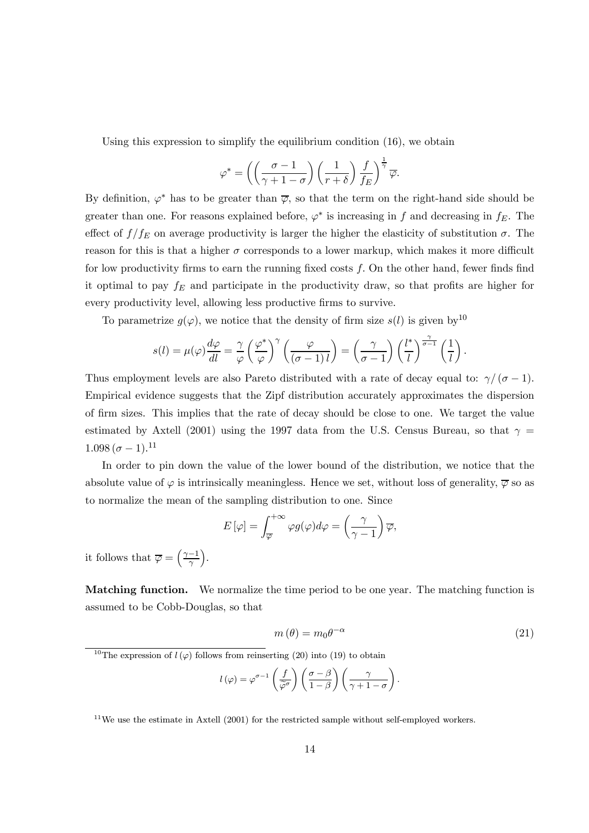Using this expression to simplify the equilibrium condition (16), we obtain

$$
\varphi^* = \left( \left( \frac{\sigma - 1}{\gamma + 1 - \sigma} \right) \left( \frac{1}{r + \delta} \right) \frac{f}{f_E} \right)^{\frac{1}{\gamma}} \overline{\varphi}.
$$

By definition,  $\varphi^*$  has to be greater than  $\overline{\varphi}$ , so that the term on the right-hand side should be greater than one. For reasons explained before,  $\varphi^*$  is increasing in f and decreasing in  $f_E$ . The effect of  $f/f_E$  on average productivity is larger the higher the elasticity of substitution  $\sigma$ . The reason for this is that a higher  $\sigma$  corresponds to a lower markup, which makes it more difficult for low productivity firms to earn the running fixed costs f. On the other hand, fewer finds find it optimal to pay  $f_E$  and participate in the productivity draw, so that profits are higher for every productivity level, allowing less productive firms to survive.

To parametrize  $g(\varphi)$ , we notice that the density of firm size  $s(l)$  is given by<sup>10</sup>

$$
s(l) = \mu(\varphi) \frac{d\varphi}{dl} = \frac{\gamma}{\varphi} \left(\frac{\varphi^*}{\varphi}\right)^{\gamma} \left(\frac{\varphi}{(\sigma - 1) l}\right) = \left(\frac{\gamma}{\sigma - 1}\right) \left(\frac{l^*}{l}\right)^{\frac{\gamma}{\sigma - 1}} \left(\frac{1}{l}\right).
$$

Thus employment levels are also Pareto distributed with a rate of decay equal to:  $\gamma/(\sigma-1)$ . Empirical evidence suggests that the Zipf distribution accurately approximates the dispersion of firm sizes. This implies that the rate of decay should be close to one. We target the value estimated by Axtell (2001) using the 1997 data from the U.S. Census Bureau, so that  $\gamma =$  $1.098(\sigma-1).^{11}$ 

In order to pin down the value of the lower bound of the distribution, we notice that the absolute value of  $\varphi$  is intrinsically meaningless. Hence we set, without loss of generality,  $\overline{\varphi}$  so as to normalize the mean of the sampling distribution to one. Since

$$
E[\varphi] = \int_{\overline{\varphi}}^{+\infty} \varphi g(\varphi) d\varphi = \left(\frac{\gamma}{\gamma - 1}\right) \overline{\varphi},
$$

it follows that  $\overline{\varphi} = \left(\frac{\gamma - 1}{\gamma}\right)$ ´ .

Matching function. We normalize the time period to be one year. The matching function is assumed to be Cobb-Douglas, so that

$$
m(\theta) = m_0 \theta^{-\alpha} \tag{21}
$$

<sup>10</sup>The expression of  $l(\varphi)$  follows from reinserting (20) into (19) to obtain

$$
l(\varphi) = \varphi^{\sigma-1}\left(\frac{f}{\widetilde{\varphi}^{\sigma}}\right)\left(\frac{\sigma-\beta}{1-\beta}\right)\left(\frac{\gamma}{\gamma+1-\sigma}\right).
$$

 $11$ We use the estimate in Axtell (2001) for the restricted sample without self-employed workers.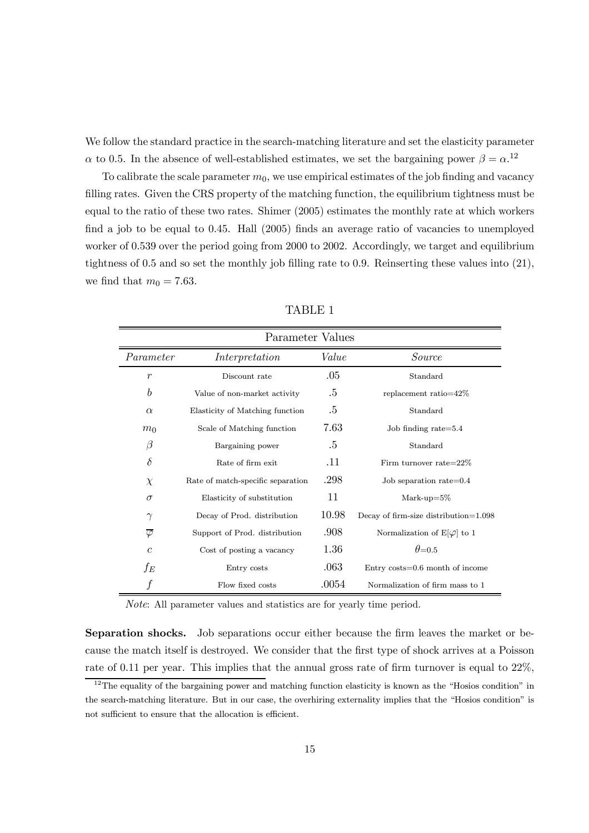We follow the standard practice in the search-matching literature and set the elasticity parameter  $\alpha$  to 0.5. In the absence of well-established estimates, we set the bargaining power  $\beta = \alpha$ <sup>12</sup>

To calibrate the scale parameter  $m_0$ , we use empirical estimates of the job finding and vacancy filling rates. Given the CRS property of the matching function, the equilibrium tightness must be equal to the ratio of these two rates. Shimer (2005) estimates the monthly rate at which workers find a job to be equal to 0.45. Hall (2005) finds an average ratio of vacancies to unemployed worker of 0.539 over the period going from 2000 to 2002. Accordingly, we target and equilibrium tightness of 0.5 and so set the monthly job filling rate to 0.9. Reinserting these values into (21), we find that  $m_0 = 7.63$ .

| Parameter Values     |                                   |        |                                       |  |  |
|----------------------|-----------------------------------|--------|---------------------------------------|--|--|
| Parameter            | Interpretation                    | Value  | Source                                |  |  |
| $\boldsymbol{r}$     | Discount rate                     | .05    | Standard                              |  |  |
| $\boldsymbol{b}$     | Value of non-market activity      | .5     | replacement ratio=42%                 |  |  |
| $\alpha$             | Elasticity of Matching function   | .5     | Standard                              |  |  |
| m <sub>0</sub>       | Scale of Matching function        | 7.63   | Job finding rate= $5.4$               |  |  |
| $\beta$              | Bargaining power                  | $.5\,$ | Standard                              |  |  |
| $\delta$             | Rate of firm exit.                | .11    | Firm turnover rate= $22\%$            |  |  |
| $\chi$               | Rate of match-specific separation | .298   | Job separation rate= $0.4$            |  |  |
| $\sigma$             | Elasticity of substitution        | 11     | Mark-up= $5\%$                        |  |  |
| $\gamma$             | Decay of Prod. distribution       | 10.98  | Decay of firm-size distribution=1.098 |  |  |
| $\overline{\varphi}$ | Support of Prod. distribution     | .908   | Normalization of $E[\varphi]$ to 1    |  |  |
| $\mathcal{C}$        | Cost of posting a vacancy         | 1.36   | $\theta = 0.5$                        |  |  |
| $f_E$                | Entry costs                       | .063   | Entry $costs = 0.6$ month of income   |  |  |
|                      | Flow fixed costs                  | .0054  | Normalization of firm mass to 1       |  |  |

TABLE 1

Note: All parameter values and statistics are for yearly time period.

Separation shocks. Job separations occur either because the firm leaves the market or because the match itself is destroyed. We consider that the first type of shock arrives at a Poisson rate of 0.11 per year. This implies that the annual gross rate of firm turnover is equal to  $22\%$ ,

 $12$ The equality of the bargaining power and matching function elasticity is known as the "Hosios condition" in the search-matching literature. But in our case, the overhiring externality implies that the "Hosios condition" is not sufficient to ensure that the allocation is efficient.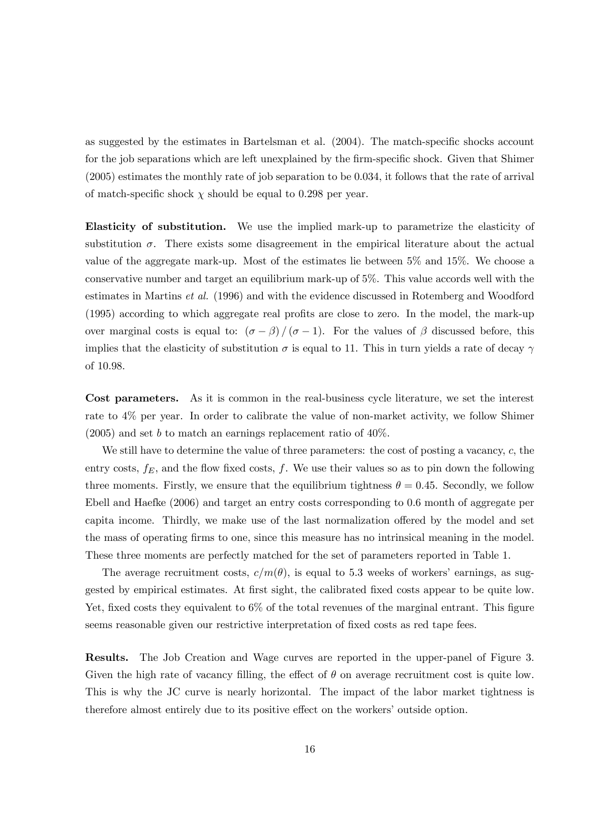as suggested by the estimates in Bartelsman et al. (2004). The match-specific shocks account for the job separations which are left unexplained by the firm-specific shock. Given that Shimer (2005) estimates the monthly rate of job separation to be 0.034, it follows that the rate of arrival of match-specific shock  $\chi$  should be equal to 0.298 per year.

Elasticity of substitution. We use the implied mark-up to parametrize the elasticity of substitution  $\sigma$ . There exists some disagreement in the empirical literature about the actual value of the aggregate mark-up. Most of the estimates lie between 5% and 15%. We choose a conservative number and target an equilibrium mark-up of 5%. This value accords well with the estimates in Martins et al. (1996) and with the evidence discussed in Rotemberg and Woodford (1995) according to which aggregate real profits are close to zero. In the model, the mark-up over marginal costs is equal to:  $(\sigma - \beta)/(\sigma - 1)$ . For the values of  $\beta$  discussed before, this implies that the elasticity of substitution  $\sigma$  is equal to 11. This in turn yields a rate of decay  $\gamma$ of 10.98.

Cost parameters. As it is common in the real-business cycle literature, we set the interest rate to 4% per year. In order to calibrate the value of non-market activity, we follow Shimer  $(2005)$  and set b to match an earnings replacement ratio of  $40\%$ .

We still have to determine the value of three parameters: the cost of posting a vacancy, c, the entry costs,  $f_E$ , and the flow fixed costs, f. We use their values so as to pin down the following three moments. Firstly, we ensure that the equilibrium tightness  $\theta = 0.45$ . Secondly, we follow Ebell and Haefke (2006) and target an entry costs corresponding to 0.6 month of aggregate per capita income. Thirdly, we make use of the last normalization offered by the model and set the mass of operating firms to one, since this measure has no intrinsical meaning in the model. These three moments are perfectly matched for the set of parameters reported in Table 1.

The average recruitment costs,  $c/m(\theta)$ , is equal to 5.3 weeks of workers' earnings, as suggested by empirical estimates. At first sight, the calibrated fixed costs appear to be quite low. Yet, fixed costs they equivalent to  $6\%$  of the total revenues of the marginal entrant. This figure seems reasonable given our restrictive interpretation of fixed costs as red tape fees.

Results. The Job Creation and Wage curves are reported in the upper-panel of Figure 3. Given the high rate of vacancy filling, the effect of  $\theta$  on average recruitment cost is quite low. This is why the JC curve is nearly horizontal. The impact of the labor market tightness is therefore almost entirely due to its positive effect on the workers' outside option.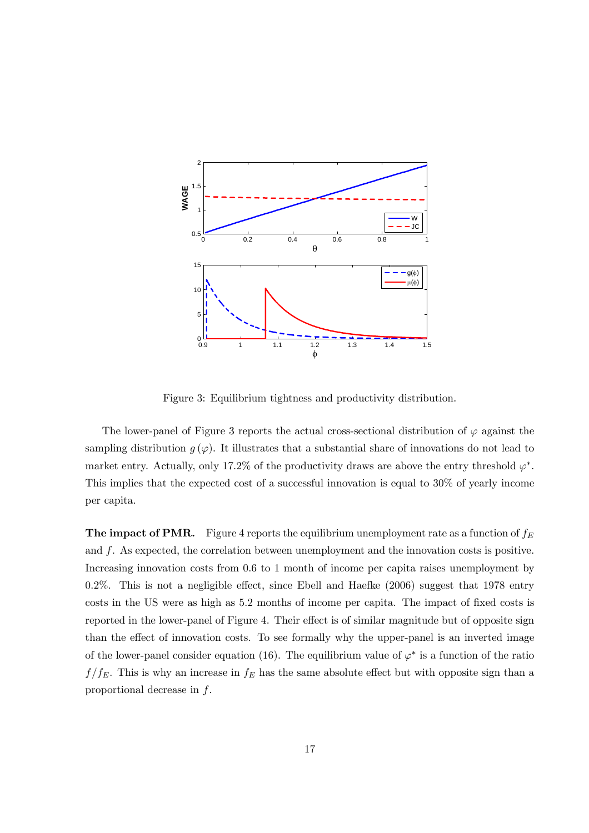

Figure 3: Equilibrium tightness and productivity distribution.

The lower-panel of Figure 3 reports the actual cross-sectional distribution of  $\varphi$  against the sampling distribution  $g(\varphi)$ . It illustrates that a substantial share of innovations do not lead to market entry. Actually, only 17.2% of the productivity draws are above the entry threshold  $\varphi^*$ . This implies that the expected cost of a successful innovation is equal to 30% of yearly income per capita.

**The impact of PMR.** Figure 4 reports the equilibrium unemployment rate as a function of  $f_E$ and f. As expected, the correlation between unemployment and the innovation costs is positive. Increasing innovation costs from 0.6 to 1 month of income per capita raises unemployment by 0.2%. This is not a negligible effect, since Ebell and Haefke (2006) suggest that 1978 entry costs in the US were as high as 5.2 months of income per capita. The impact of fixed costs is reported in the lower-panel of Figure 4. Their effect is of similar magnitude but of opposite sign than the effect of innovation costs. To see formally why the upper-panel is an inverted image of the lower-panel consider equation (16). The equilibrium value of  $\varphi^*$  is a function of the ratio  $f/f_E$ . This is why an increase in  $f_E$  has the same absolute effect but with opposite sign than a proportional decrease in f.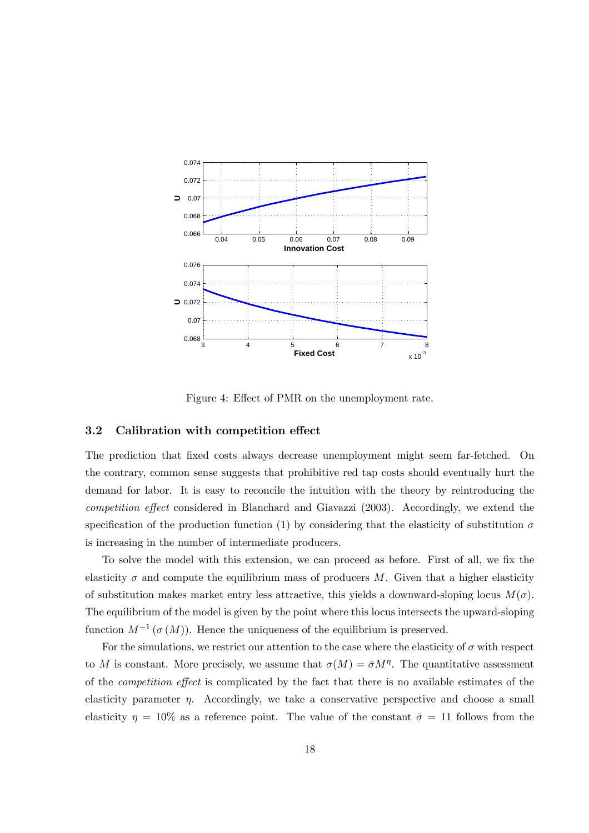

Figure 4: Effect of PMR on the unemployment rate.

## 3.2 Calibration with competition effect

The prediction that fixed costs always decrease unemployment might seem far-fetched. On the contrary, common sense suggests that prohibitive red tap costs should eventually hurt the demand for labor. It is easy to reconcile the intuition with the theory by reintroducing the competition effect considered in Blanchard and Giavazzi (2003). Accordingly, we extend the specification of the production function (1) by considering that the elasticity of substitution  $\sigma$ is increasing in the number of intermediate producers.

To solve the model with this extension, we can proceed as before. First of all, we fix the elasticity  $\sigma$  and compute the equilibrium mass of producers M. Given that a higher elasticity of substitution makes market entry less attractive, this yields a downward-sloping locus  $M(\sigma)$ . The equilibrium of the model is given by the point where this locus intersects the upward-sloping function  $M^{-1}(\sigma(M))$ . Hence the uniqueness of the equilibrium is preserved.

For the simulations, we restrict our attention to the case where the elasticity of  $\sigma$  with respect to M is constant. More precisely, we assume that  $\sigma(M)=\bar{\sigma}M^{\eta}$ . The quantitative assessment of the competition effect is complicated by the fact that there is no available estimates of the elasticity parameter  $\eta$ . Accordingly, we take a conservative perspective and choose a small elasticity  $\eta = 10\%$  as a reference point. The value of the constant  $\bar{\sigma} = 11$  follows from the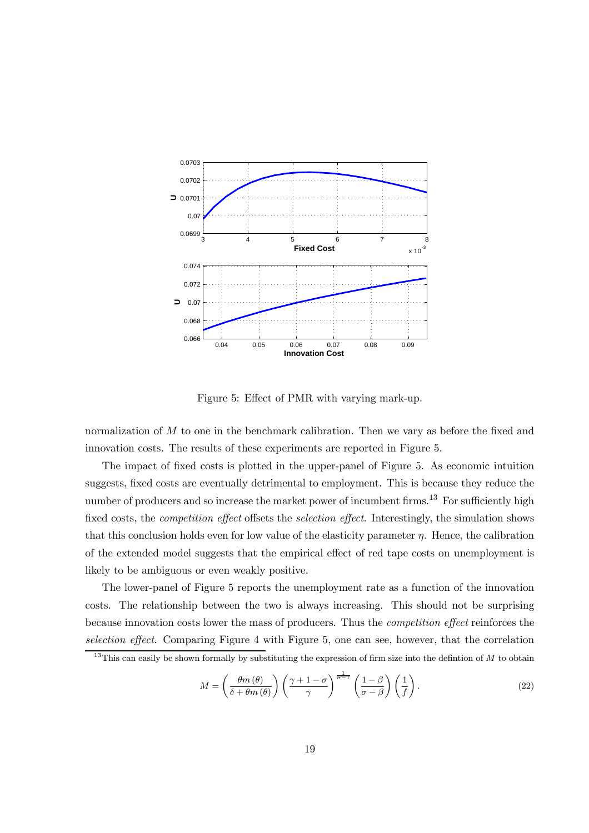

Figure 5: Effect of PMR with varying mark-up.

normalization of M to one in the benchmark calibration. Then we vary as before the fixed and innovation costs. The results of these experiments are reported in Figure 5.

The impact of fixed costs is plotted in the upper-panel of Figure 5. As economic intuition suggests, fixed costs are eventually detrimental to employment. This is because they reduce the number of producers and so increase the market power of incumbent firms.<sup>13</sup> For sufficiently high fixed costs, the *competition effect* offsets the *selection effect*. Interestingly, the simulation shows that this conclusion holds even for low value of the elasticity parameter  $\eta$ . Hence, the calibration of the extended model suggests that the empirical effect of red tape costs on unemployment is likely to be ambiguous or even weakly positive.

The lower-panel of Figure 5 reports the unemployment rate as a function of the innovation costs. The relationship between the two is always increasing. This should not be surprising because innovation costs lower the mass of producers. Thus the competition effect reinforces the selection effect. Comparing Figure 4 with Figure 5, one can see, however, that the correlation

$$
M = \left(\frac{\theta m(\theta)}{\delta + \theta m(\theta)}\right) \left(\frac{\gamma + 1 - \sigma}{\gamma}\right)^{\frac{1}{\sigma - 1}} \left(\frac{1 - \beta}{\sigma - \beta}\right) \left(\frac{1}{f}\right). \tag{22}
$$

<sup>&</sup>lt;sup>13</sup>This can easily be shown formally by substituting the expression of firm size into the defintion of  $M$  to obtain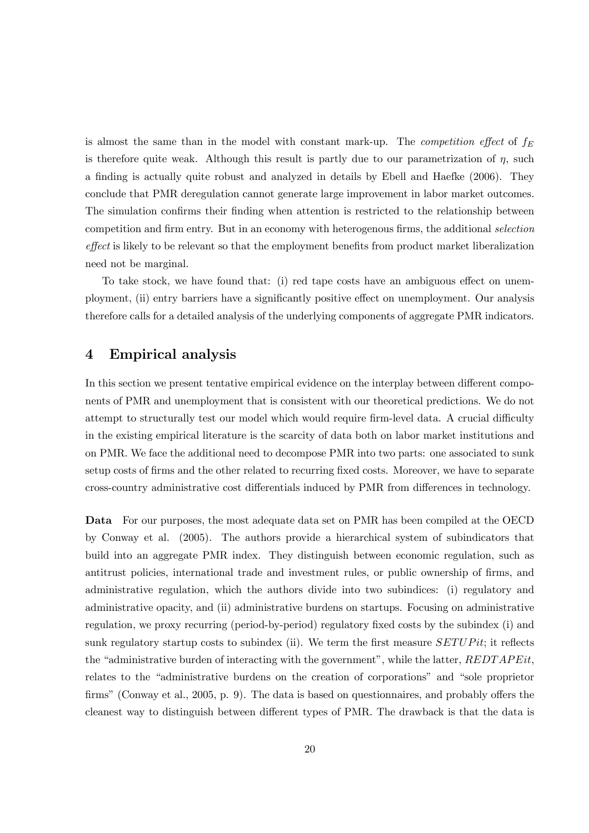is almost the same than in the model with constant mark-up. The *competition effect* of  $f_E$ is therefore quite weak. Although this result is partly due to our parametrization of  $\eta$ , such a finding is actually quite robust and analyzed in details by Ebell and Haefke (2006). They conclude that PMR deregulation cannot generate large improvement in labor market outcomes. The simulation confirms their finding when attention is restricted to the relationship between competition and firm entry. But in an economy with heterogenous firms, the additional selection effect is likely to be relevant so that the employment benefits from product market liberalization need not be marginal.

To take stock, we have found that: (i) red tape costs have an ambiguous effect on unemployment, (ii) entry barriers have a significantly positive effect on unemployment. Our analysis therefore calls for a detailed analysis of the underlying components of aggregate PMR indicators.

## 4 Empirical analysis

In this section we present tentative empirical evidence on the interplay between different components of PMR and unemployment that is consistent with our theoretical predictions. We do not attempt to structurally test our model which would require firm-level data. A crucial difficulty in the existing empirical literature is the scarcity of data both on labor market institutions and on PMR. We face the additional need to decompose PMR into two parts: one associated to sunk setup costs of firms and the other related to recurring fixed costs. Moreover, we have to separate cross-country administrative cost differentials induced by PMR from differences in technology.

Data For our purposes, the most adequate data set on PMR has been compiled at the OECD by Conway et al. (2005). The authors provide a hierarchical system of subindicators that build into an aggregate PMR index. They distinguish between economic regulation, such as antitrust policies, international trade and investment rules, or public ownership of firms, and administrative regulation, which the authors divide into two subindices: (i) regulatory and administrative opacity, and (ii) administrative burdens on startups. Focusing on administrative regulation, we proxy recurring (period-by-period) regulatory fixed costs by the subindex (i) and sunk regulatory startup costs to subindex (ii). We term the first measure  $SETUPit$ ; it reflects the "administrative burden of interacting with the government", while the latter,  $REDTAPEit$ , relates to the "administrative burdens on the creation of corporations" and "sole proprietor firms" (Conway et al., 2005, p. 9). The data is based on questionnaires, and probably offers the cleanest way to distinguish between different types of PMR. The drawback is that the data is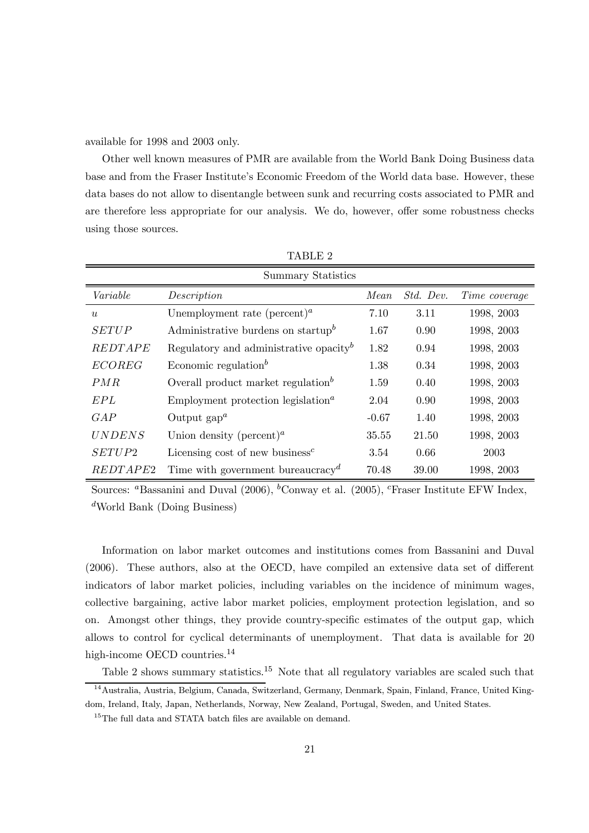available for 1998 and 2003 only.

Other well known measures of PMR are available from the World Bank Doing Business data base and from the Fraser Institute's Economic Freedom of the World data base. However, these data bases do not allow to disentangle between sunk and recurring costs associated to PMR and are therefore less appropriate for our analysis. We do, however, offer some robustness checks using those sources.

| Summary Statistics |                                                             |         |           |               |  |
|--------------------|-------------------------------------------------------------|---------|-----------|---------------|--|
| Variable           | Description                                                 | Mean    | Std. Dev. | Time coverage |  |
| u                  | Unemployment rate (percent) <sup><i>a</i></sup>             | 7.10    | 3.11      | 1998, 2003    |  |
| <b>SETUP</b>       | Administrative burdens on startup <sup>b</sup>              | 1.67    | 0.90      | 1998, 2003    |  |
| <i>REDTAPE</i>     | Regulatory and administrative opacity <sup>b</sup>          | 1.82    | 0.94      | 1998, 2003    |  |
| <b>ECOREG</b>      | Economic regulation <sup>b</sup>                            | 1.38    | 0.34      | 1998, 2003    |  |
| PMR                | Overall product market regulation <sup>b</sup>              | 1.59    | 0.40      | 1998, 2003    |  |
| EPL                | Employment protection legislation <sup><math>a</math></sup> | 2.04    | 0.90      | 1998, 2003    |  |
| GAP                | Output $\text{gap}^a$                                       | $-0.67$ | 1.40      | 1998, 2003    |  |
| <b>UNDENS</b>      | Union density (percent) <sup><i>a</i></sup>                 | 35.55   | 21.50     | 1998, 2003    |  |
| SETUP2             | Licensing cost of new business <sup>c</sup>                 | 3.54    | 0.66      | 2003          |  |
| REDTAPE2           | Time with government bureaucracy <sup><math>d</math></sup>  | 70.48   | 39.00     | 1998, 2003    |  |

TABLE 2

Sources: <sup>a</sup>Bassanini and Duval (2006), <sup>b</sup>Conway et al. (2005), <sup>c</sup>Fraser Institute EFW Index,  $d$ World Bank (Doing Business)

Information on labor market outcomes and institutions comes from Bassanini and Duval (2006). These authors, also at the OECD, have compiled an extensive data set of different indicators of labor market policies, including variables on the incidence of minimum wages, collective bargaining, active labor market policies, employment protection legislation, and so on. Amongst other things, they provide country-specific estimates of the output gap, which allows to control for cyclical determinants of unemployment. That data is available for 20 high-income OECD countries.<sup>14</sup>

Table 2 shows summary statistics.<sup>15</sup> Note that all regulatory variables are scaled such that

<sup>14</sup>Australia, Austria, Belgium, Canada, Switzerland, Germany, Denmark, Spain, Finland, France, United Kingdom, Ireland, Italy, Japan, Netherlands, Norway, New Zealand, Portugal, Sweden, and United States.

<sup>&</sup>lt;sup>15</sup>The full data and STATA batch files are available on demand.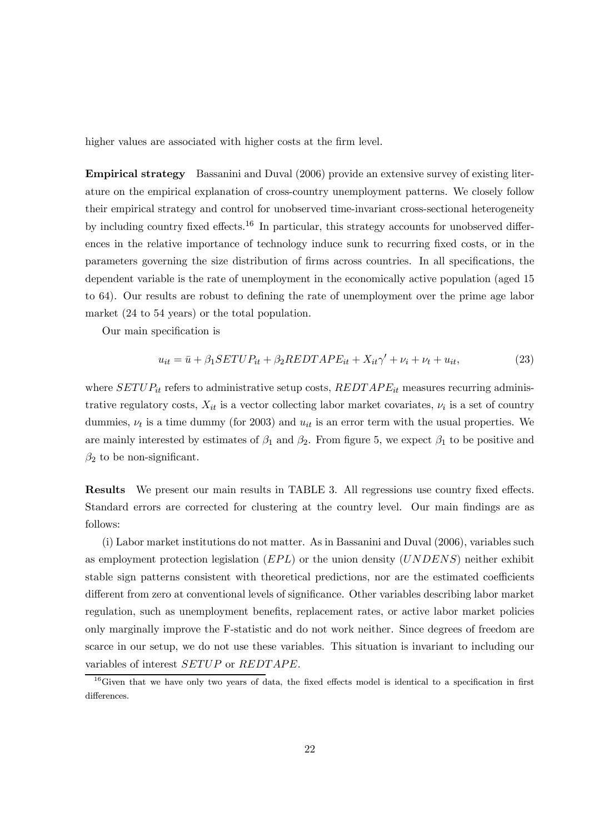higher values are associated with higher costs at the firm level.

Empirical strategy Bassanini and Duval (2006) provide an extensive survey of existing literature on the empirical explanation of cross-country unemployment patterns. We closely follow their empirical strategy and control for unobserved time-invariant cross-sectional heterogeneity by including country fixed effects.<sup>16</sup> In particular, this strategy accounts for unobserved differences in the relative importance of technology induce sunk to recurring fixed costs, or in the parameters governing the size distribution of firms across countries. In all specifications, the dependent variable is the rate of unemployment in the economically active population (aged 15 to 64). Our results are robust to defining the rate of unemployment over the prime age labor market (24 to 54 years) or the total population.

Our main specification is

$$
u_{it} = \bar{u} + \beta_1 SETUP_{it} + \beta_2REDTAPE_{it} + X_{it}\gamma' + \nu_i + \nu_t + u_{it},\tag{23}
$$

where  $SETUP_{it}$  refers to administrative setup costs,  $REDTAPE_{it}$  measures recurring administrative regulatory costs,  $X_{it}$  is a vector collecting labor market covariates,  $\nu_i$  is a set of country dummies,  $\nu_t$  is a time dummy (for 2003) and  $u_{it}$  is an error term with the usual properties. We are mainly interested by estimates of  $\beta_1$  and  $\beta_2$ . From figure 5, we expect  $\beta_1$  to be positive and  $\beta_2$  to be non-significant.

Results We present our main results in TABLE 3. All regressions use country fixed effects. Standard errors are corrected for clustering at the country level. Our main findings are as follows:

(i) Labor market institutions do not matter. As in Bassanini and Duval (2006), variables such as employment protection legislation  $(EPL)$  or the union density  $(UNDENS)$  neither exhibit stable sign patterns consistent with theoretical predictions, nor are the estimated coefficients different from zero at conventional levels of significance. Other variables describing labor market regulation, such as unemployment benefits, replacement rates, or active labor market policies only marginally improve the F-statistic and do not work neither. Since degrees of freedom are scarce in our setup, we do not use these variables. This situation is invariant to including our variables of interest SETUP or REDTAPE.

<sup>&</sup>lt;sup>16</sup>Given that we have only two years of data, the fixed effects model is identical to a specification in first differences.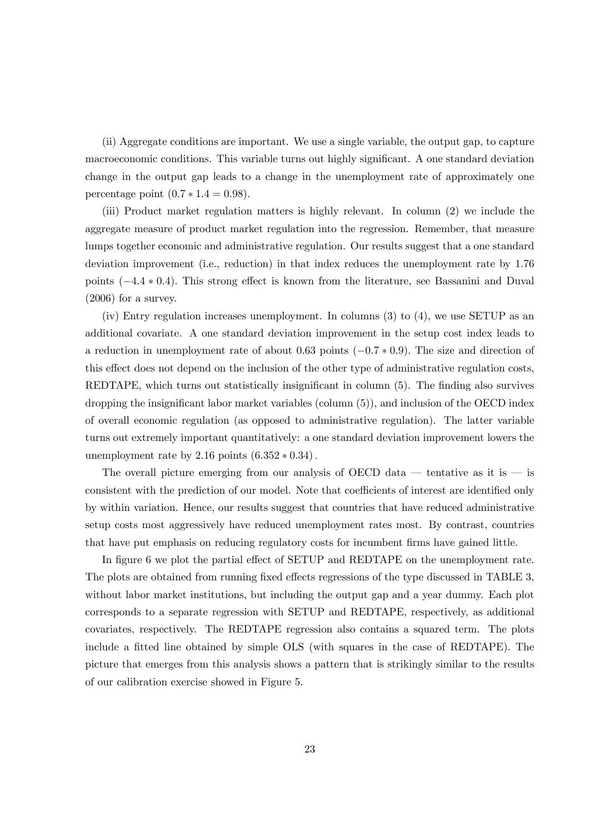(ii) Aggregate conditions are important. We use a single variable, the output gap, to capture macroeconomic conditions. This variable turns out highly significant. A one standard deviation change in the output gap leads to a change in the unemployment rate of approximately one percentage point  $(0.7 * 1.4 = 0.98)$ .

(iii) Product market regulation matters is highly relevant. In column (2) we include the aggregate measure of product market regulation into the regression. Remember, that measure lumps together economic and administrative regulation. Our results suggest that a one standard deviation improvement (i.e., reduction) in that index reduces the unemployment rate by 1.76 points (−4.4 ∗ 0.4). This strong effect is known from the literature, see Bassanini and Duval (2006) for a survey.

(iv) Entry regulation increases unemployment. In columns (3) to (4), we use SETUP as an additional covariate. A one standard deviation improvement in the setup cost index leads to a reduction in unemployment rate of about 0.63 points (−0.7 ∗ 0.9). The size and direction of this effect does not depend on the inclusion of the other type of administrative regulation costs, REDTAPE, which turns out statistically insignificant in column (5). The finding also survives dropping the insignificant labor market variables (column (5)), and inclusion of the OECD index of overall economic regulation (as opposed to administrative regulation). The latter variable turns out extremely important quantitatively: a one standard deviation improvement lowers the unemployment rate by  $2.16$  points  $(6.352 * 0.34)$ .

The overall picture emerging from our analysis of OECD data – tentative as it is – is consistent with the prediction of our model. Note that coefficients of interest are identified only by within variation. Hence, our results suggest that countries that have reduced administrative setup costs most aggressively have reduced unemployment rates most. By contrast, countries that have put emphasis on reducing regulatory costs for incumbent firms have gained little.

In figure 6 we plot the partial effect of SETUP and REDTAPE on the unemployment rate. The plots are obtained from running fixed effects regressions of the type discussed in TABLE 3, without labor market institutions, but including the output gap and a year dummy. Each plot corresponds to a separate regression with SETUP and REDTAPE, respectively, as additional covariates, respectively. The REDTAPE regression also contains a squared term. The plots include a fitted line obtained by simple OLS (with squares in the case of REDTAPE). The picture that emerges from this analysis shows a pattern that is strikingly similar to the results of our calibration exercise showed in Figure 5.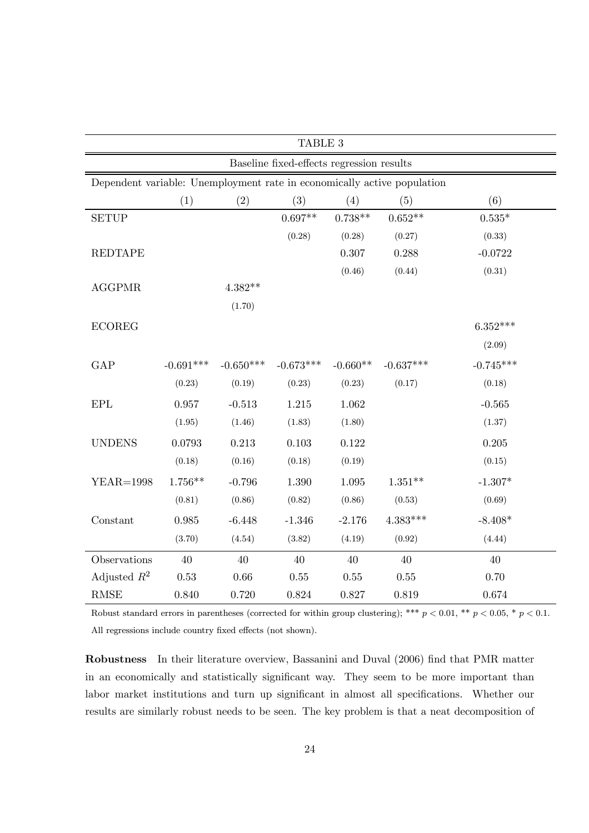| TABLE 3                                                                 |             |             |             |            |             |             |
|-------------------------------------------------------------------------|-------------|-------------|-------------|------------|-------------|-------------|
| Baseline fixed-effects regression results                               |             |             |             |            |             |             |
| Dependent variable: Unemployment rate in economically active population |             |             |             |            |             |             |
|                                                                         | (1)         | (2)         | (3)         | (4)        | (5)         | (6)         |
| <b>SETUP</b>                                                            |             |             | $0.697**$   | $0.738**$  | $0.652**$   | $0.535*$    |
|                                                                         |             |             | (0.28)      | (0.28)     | (0.27)      | (0.33)      |
| <b>REDTAPE</b>                                                          |             |             |             | $0.307\,$  | 0.288       | $-0.0722$   |
|                                                                         |             |             |             | (0.46)     | (0.44)      | (0.31)      |
| <b>AGGPMR</b>                                                           |             | $4.382**$   |             |            |             |             |
|                                                                         |             | (1.70)      |             |            |             |             |
| <b>ECOREG</b>                                                           |             |             |             |            |             | $6.352***$  |
|                                                                         |             |             |             |            |             | (2.09)      |
| GAP                                                                     | $-0.691***$ | $-0.650***$ | $-0.673***$ | $-0.660**$ | $-0.637***$ | $-0.745***$ |
|                                                                         | (0.23)      | (0.19)      | (0.23)      | (0.23)     | (0.17)      | (0.18)      |
| EPL                                                                     | 0.957       | $-0.513$    | 1.215       | $1.062\,$  |             | $-0.565$    |
|                                                                         | (1.95)      | (1.46)      | (1.83)      | (1.80)     |             | (1.37)      |
| <b>UNDENS</b>                                                           | 0.0793      | 0.213       | 0.103       | 0.122      |             | 0.205       |
|                                                                         | (0.18)      | (0.16)      | (0.18)      | (0.19)     |             | (0.15)      |
| <b>YEAR=1998</b>                                                        | $1.756**$   | $-0.796$    | 1.390       | 1.095      | $1.351**$   | $-1.307*$   |
|                                                                         | (0.81)      | (0.86)      | (0.82)      | (0.86)     | (0.53)      | (0.69)      |
| Constant                                                                | 0.985       | $-6.448$    | $-1.346$    | $-2.176$   | $4.383***$  | $-8.408*$   |
|                                                                         | (3.70)      | (4.54)      | (3.82)      | (4.19)     | (0.92)      | (4.44)      |
| Observations                                                            | 40          | 40          | 40          | 40         | 40          | $40\,$      |
| Adjusted $R^2$                                                          | 0.53        | 0.66        | $0.55\,$    | 0.55       | 0.55        | 0.70        |
| RMSE                                                                    | 0.840       | 0.720       | 0.824       | $0.827\,$  | 0.819       | $0.674\,$   |

Robust standard errors in parentheses (corrected for within group clustering); \*\*\*  $p < 0.01$ , \*\*  $p < 0.05$ , \*  $p < 0.1$ . All regressions include country fixed effects (not shown).

Robustness In their literature overview, Bassanini and Duval (2006) find that PMR matter in an economically and statistically significant way. They seem to be more important than labor market institutions and turn up significant in almost all specifications. Whether our results are similarly robust needs to be seen. The key problem is that a neat decomposition of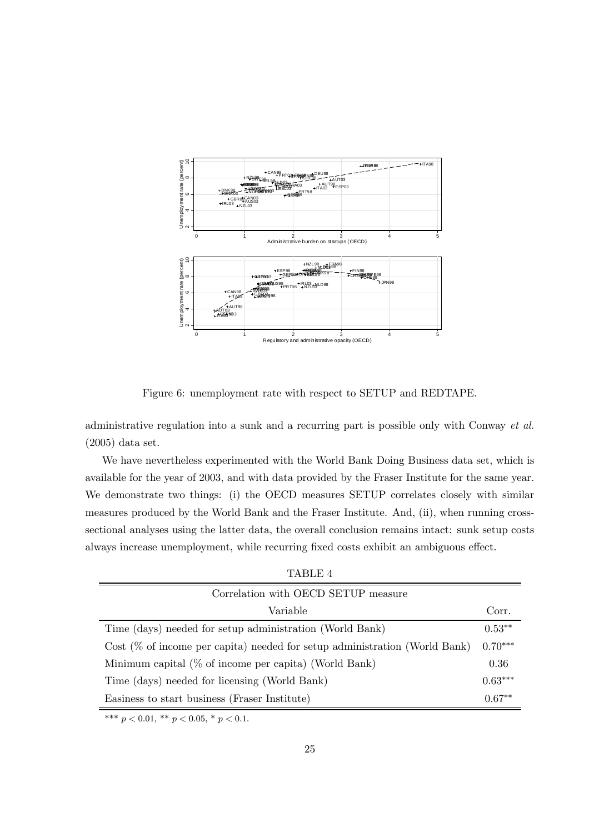

Figure 6: unemployment rate with respect to SETUP and REDTAPE.

administrative regulation into a sunk and a recurring part is possible only with Conway et al. (2005) data set.

We have nevertheless experimented with the World Bank Doing Business data set, which is available for the year of 2003, and with data provided by the Fraser Institute for the same year. We demonstrate two things: (i) the OECD measures SETUP correlates closely with similar measures produced by the World Bank and the Fraser Institute. And, (ii), when running crosssectional analyses using the latter data, the overall conclusion remains intact: sunk setup costs always increase unemployment, while recurring fixed costs exhibit an ambiguous effect.

TABLE 4

| Correlation with OECD SETUP measure                                           |           |
|-------------------------------------------------------------------------------|-----------|
| Variable                                                                      | Corr.     |
| Time (days) needed for setup administration (World Bank)                      | $0.53**$  |
| Cost $(\%$ of income per capita) needed for setup administration (World Bank) | $0.70***$ |
| Minimum capital $(\%$ of income per capita) (World Bank)                      | 0.36      |
| Time (days) needed for licensing (World Bank)                                 | $0.63***$ |
| Easiness to start business (Fraser Institute)                                 | $0.67**$  |

\*\*\*  $p < 0.01$ , \*\*  $p < 0.05$ , \*  $p < 0.1$ .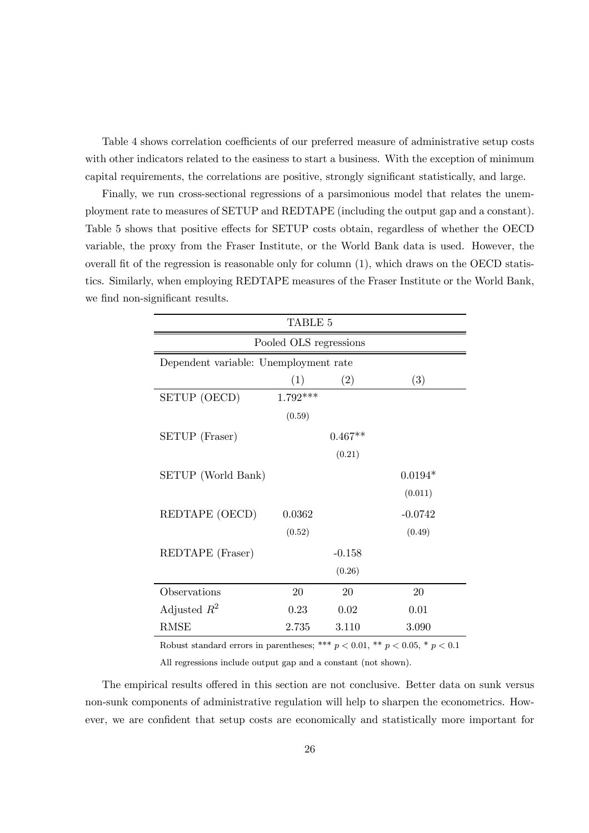Table 4 shows correlation coefficients of our preferred measure of administrative setup costs with other indicators related to the easiness to start a business. With the exception of minimum capital requirements, the correlations are positive, strongly significant statistically, and large.

Finally, we run cross-sectional regressions of a parsimonious model that relates the unemployment rate to measures of SETUP and REDTAPE (including the output gap and a constant). Table 5 shows that positive effects for SETUP costs obtain, regardless of whether the OECD variable, the proxy from the Fraser Institute, or the World Bank data is used. However, the overall fit of the regression is reasonable only for column (1), which draws on the OECD statistics. Similarly, when employing REDTAPE measures of the Fraser Institute or the World Bank, we find non-significant results.

| TABLE 5                               |            |           |           |  |  |  |
|---------------------------------------|------------|-----------|-----------|--|--|--|
| Pooled OLS regressions                |            |           |           |  |  |  |
| Dependent variable: Unemployment rate |            |           |           |  |  |  |
|                                       | (1)        | (2)       | (3)       |  |  |  |
| SETUP (OECD)                          | $1.792***$ |           |           |  |  |  |
|                                       | (0.59)     |           |           |  |  |  |
| SETUP (Fraser)                        |            | $0.467**$ |           |  |  |  |
|                                       |            | (0.21)    |           |  |  |  |
| SETUP (World Bank)                    |            |           | $0.0194*$ |  |  |  |
|                                       |            |           | (0.011)   |  |  |  |
| REDTAPE (OECD)                        | 0.0362     |           | $-0.0742$ |  |  |  |
|                                       | (0.52)     |           | (0.49)    |  |  |  |
| REDTAPE (Fraser)                      |            | $-0.158$  |           |  |  |  |
|                                       |            | (0.26)    |           |  |  |  |
| Observations                          | 20         | 20        | 20        |  |  |  |
| Adjusted $R^2$                        | 0.23       | 0.02      | 0.01      |  |  |  |
| RMSE                                  | 2.735      | 3.110     | 3.090     |  |  |  |

Robust standard errors in parentheses; \*\*\*  $p < 0.01$ , \*\*  $p < 0.05$ , \*  $p < 0.1$ 

All regressions include output gap and a constant (not shown).

The empirical results offered in this section are not conclusive. Better data on sunk versus non-sunk components of administrative regulation will help to sharpen the econometrics. However, we are confident that setup costs are economically and statistically more important for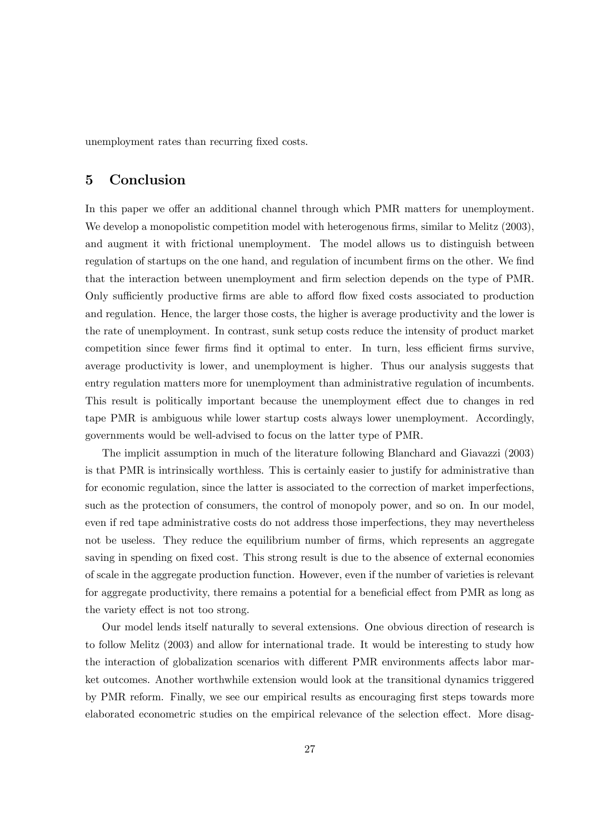unemployment rates than recurring fixed costs.

# 5 Conclusion

In this paper we offer an additional channel through which PMR matters for unemployment. We develop a monopolistic competition model with heterogenous firms, similar to Melitz (2003), and augment it with frictional unemployment. The model allows us to distinguish between regulation of startups on the one hand, and regulation of incumbent firms on the other. We find that the interaction between unemployment and firm selection depends on the type of PMR. Only sufficiently productive firms are able to afford flow fixed costs associated to production and regulation. Hence, the larger those costs, the higher is average productivity and the lower is the rate of unemployment. In contrast, sunk setup costs reduce the intensity of product market competition since fewer firms find it optimal to enter. In turn, less efficient firms survive, average productivity is lower, and unemployment is higher. Thus our analysis suggests that entry regulation matters more for unemployment than administrative regulation of incumbents. This result is politically important because the unemployment effect due to changes in red tape PMR is ambiguous while lower startup costs always lower unemployment. Accordingly, governments would be well-advised to focus on the latter type of PMR.

The implicit assumption in much of the literature following Blanchard and Giavazzi (2003) is that PMR is intrinsically worthless. This is certainly easier to justify for administrative than for economic regulation, since the latter is associated to the correction of market imperfections, such as the protection of consumers, the control of monopoly power, and so on. In our model, even if red tape administrative costs do not address those imperfections, they may nevertheless not be useless. They reduce the equilibrium number of firms, which represents an aggregate saving in spending on fixed cost. This strong result is due to the absence of external economies of scale in the aggregate production function. However, even if the number of varieties is relevant for aggregate productivity, there remains a potential for a beneficial effect from PMR as long as the variety effect is not too strong.

Our model lends itself naturally to several extensions. One obvious direction of research is to follow Melitz (2003) and allow for international trade. It would be interesting to study how the interaction of globalization scenarios with different PMR environments affects labor market outcomes. Another worthwhile extension would look at the transitional dynamics triggered by PMR reform. Finally, we see our empirical results as encouraging first steps towards more elaborated econometric studies on the empirical relevance of the selection effect. More disag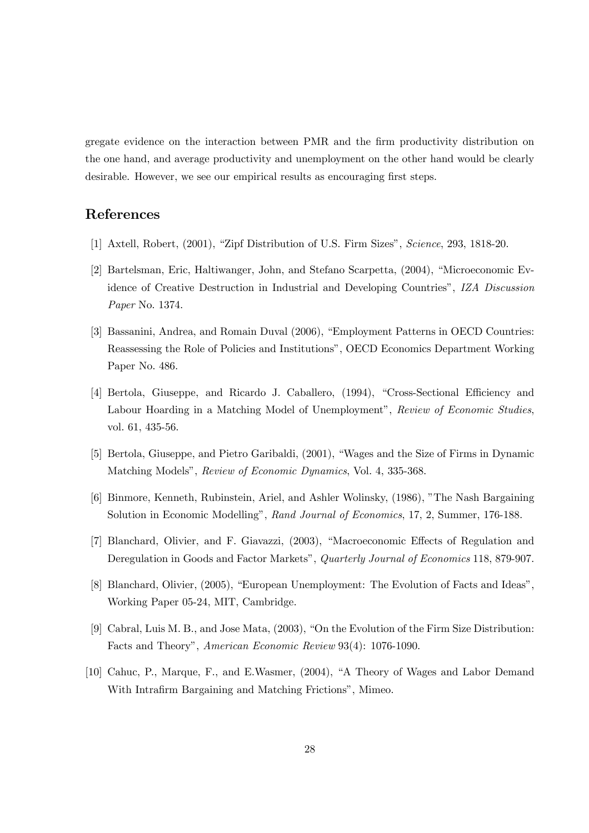gregate evidence on the interaction between PMR and the firm productivity distribution on the one hand, and average productivity and unemployment on the other hand would be clearly desirable. However, we see our empirical results as encouraging first steps.

# References

- [1] Axtell, Robert, (2001), "Zipf Distribution of U.S. Firm Sizes", Science, 293, 1818-20.
- [2] Bartelsman, Eric, Haltiwanger, John, and Stefano Scarpetta, (2004), "Microeconomic Evidence of Creative Destruction in Industrial and Developing Countries", IZA Discussion Paper No. 1374.
- [3] Bassanini, Andrea, and Romain Duval (2006), "Employment Patterns in OECD Countries: Reassessing the Role of Policies and Institutions", OECD Economics Department Working Paper No. 486.
- [4] Bertola, Giuseppe, and Ricardo J. Caballero, (1994), "Cross-Sectional Efficiency and Labour Hoarding in a Matching Model of Unemployment", Review of Economic Studies, vol. 61, 435-56.
- [5] Bertola, Giuseppe, and Pietro Garibaldi, (2001), "Wages and the Size of Firms in Dynamic Matching Models", Review of Economic Dynamics, Vol. 4, 335-368.
- [6] Binmore, Kenneth, Rubinstein, Ariel, and Ashler Wolinsky, (1986), "The Nash Bargaining Solution in Economic Modelling", Rand Journal of Economics, 17, 2, Summer, 176-188.
- [7] Blanchard, Olivier, and F. Giavazzi, (2003), "Macroeconomic Effects of Regulation and Deregulation in Goods and Factor Markets", Quarterly Journal of Economics 118, 879-907.
- [8] Blanchard, Olivier, (2005), "European Unemployment: The Evolution of Facts and Ideas", Working Paper 05-24, MIT, Cambridge.
- [9] Cabral, Luis M. B., and Jose Mata, (2003), "On the Evolution of the Firm Size Distribution: Facts and Theory", American Economic Review 93(4): 1076-1090.
- [10] Cahuc, P., Marque, F., and E.Wasmer, (2004), "A Theory of Wages and Labor Demand With Intrafirm Bargaining and Matching Frictions", Mimeo.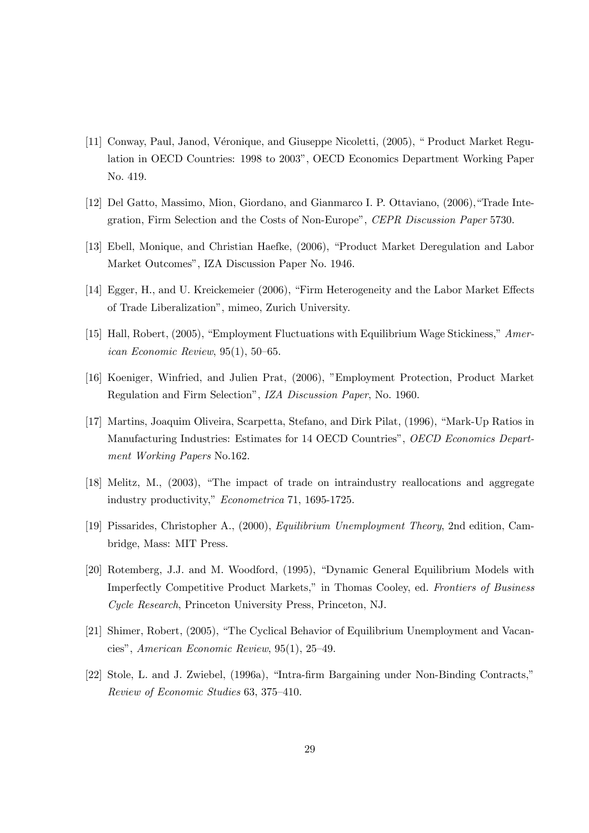- [11] Conway, Paul, Janod, Véronique, and Giuseppe Nicoletti, (2005), " Product Market Regulation in OECD Countries: 1998 to 2003", OECD Economics Department Working Paper No. 419.
- [12] Del Gatto, Massimo, Mion, Giordano, and Gianmarco I. P. Ottaviano, (2006),"Trade Integration, Firm Selection and the Costs of Non-Europe", CEPR Discussion Paper 5730.
- [13] Ebell, Monique, and Christian Haefke, (2006), "Product Market Deregulation and Labor Market Outcomes", IZA Discussion Paper No. 1946.
- [14] Egger, H., and U. Kreickemeier (2006), "Firm Heterogeneity and the Labor Market Effects of Trade Liberalization", mimeo, Zurich University.
- [15] Hall, Robert, (2005), "Employment Fluctuations with Equilibrium Wage Stickiness," American Economic Review, 95(1), 50—65.
- [16] Koeniger, Winfried, and Julien Prat, (2006), "Employment Protection, Product Market Regulation and Firm Selection", IZA Discussion Paper, No. 1960.
- [17] Martins, Joaquim Oliveira, Scarpetta, Stefano, and Dirk Pilat, (1996), "Mark-Up Ratios in Manufacturing Industries: Estimates for 14 OECD Countries", OECD Economics Department Working Papers No.162.
- [18] Melitz, M., (2003), "The impact of trade on intraindustry reallocations and aggregate industry productivity," Econometrica 71, 1695-1725.
- [19] Pissarides, Christopher A., (2000), Equilibrium Unemployment Theory, 2nd edition, Cambridge, Mass: MIT Press.
- [20] Rotemberg, J.J. and M. Woodford, (1995), "Dynamic General Equilibrium Models with Imperfectly Competitive Product Markets," in Thomas Cooley, ed. Frontiers of Business Cycle Research, Princeton University Press, Princeton, NJ.
- [21] Shimer, Robert, (2005), "The Cyclical Behavior of Equilibrium Unemployment and Vacancies", American Economic Review, 95(1), 25—49.
- [22] Stole, L. and J. Zwiebel, (1996a), "Intra-firm Bargaining under Non-Binding Contracts," Review of Economic Studies 63, 375—410.